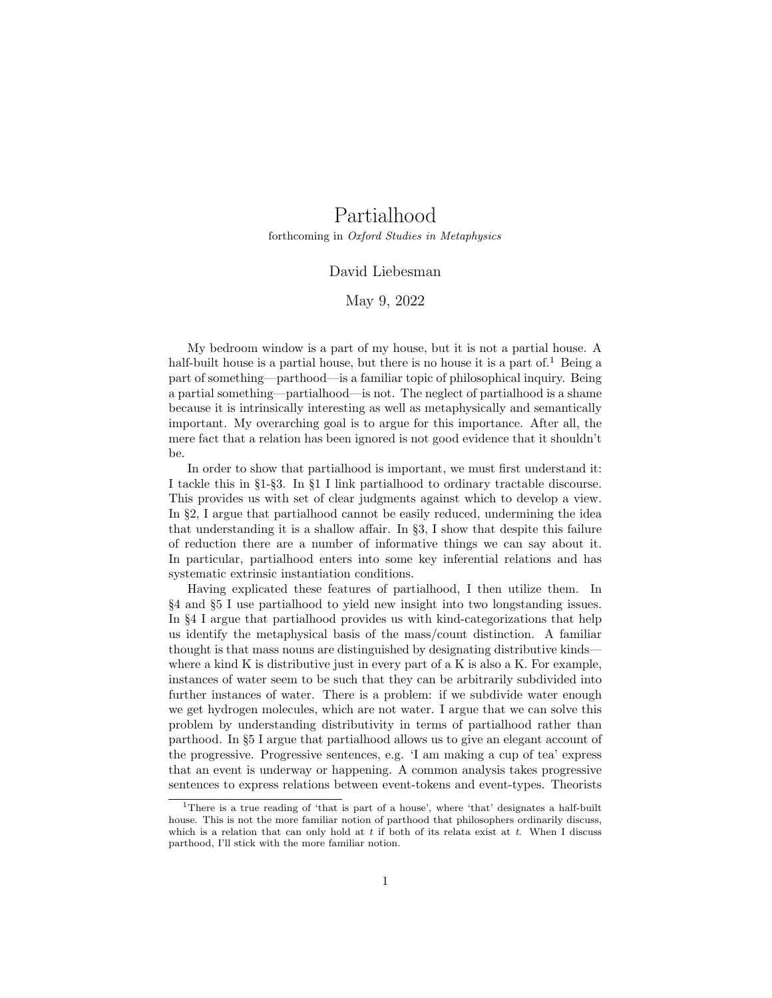# Partialhood

forthcoming in Oxford Studies in Metaphysics

## David Liebesman

#### May 9, 2022

My bedroom window is a part of my house, but it is not a partial house. A half-built house is a partial house, but there is no house it is a part of.<sup>1</sup> Being a part of something—parthood—is a familiar topic of philosophical inquiry. Being a partial something—partialhood—is not. The neglect of partialhood is a shame because it is intrinsically interesting as well as metaphysically and semantically important. My overarching goal is to argue for this importance. After all, the mere fact that a relation has been ignored is not good evidence that it shouldn't be.

In order to show that partialhood is important, we must first understand it: I tackle this in §1-§3. In §1 I link partialhood to ordinary tractable discourse. This provides us with set of clear judgments against which to develop a view. In §2, I argue that partialhood cannot be easily reduced, undermining the idea that understanding it is a shallow affair. In §3, I show that despite this failure of reduction there are a number of informative things we can say about it. In particular, partialhood enters into some key inferential relations and has systematic extrinsic instantiation conditions.

Having explicated these features of partialhood, I then utilize them. In §4 and §5 I use partialhood to yield new insight into two longstanding issues. In §4 I argue that partialhood provides us with kind-categorizations that help us identify the metaphysical basis of the mass/count distinction. A familiar thought is that mass nouns are distinguished by designating distributive kinds where a kind K is distributive just in every part of a K is also a K. For example, instances of water seem to be such that they can be arbitrarily subdivided into further instances of water. There is a problem: if we subdivide water enough we get hydrogen molecules, which are not water. I argue that we can solve this problem by understanding distributivity in terms of partialhood rather than parthood. In §5 I argue that partialhood allows us to give an elegant account of the progressive. Progressive sentences, e.g. 'I am making a cup of tea' express that an event is underway or happening. A common analysis takes progressive sentences to express relations between event-tokens and event-types. Theorists

<sup>&</sup>lt;sup>1</sup>There is a true reading of 'that is part of a house', where 'that' designates a half-built house. This is not the more familiar notion of parthood that philosophers ordinarily discuss, which is a relation that can only hold at  $t$  if both of its relata exist at  $t$ . When I discuss parthood, I'll stick with the more familiar notion.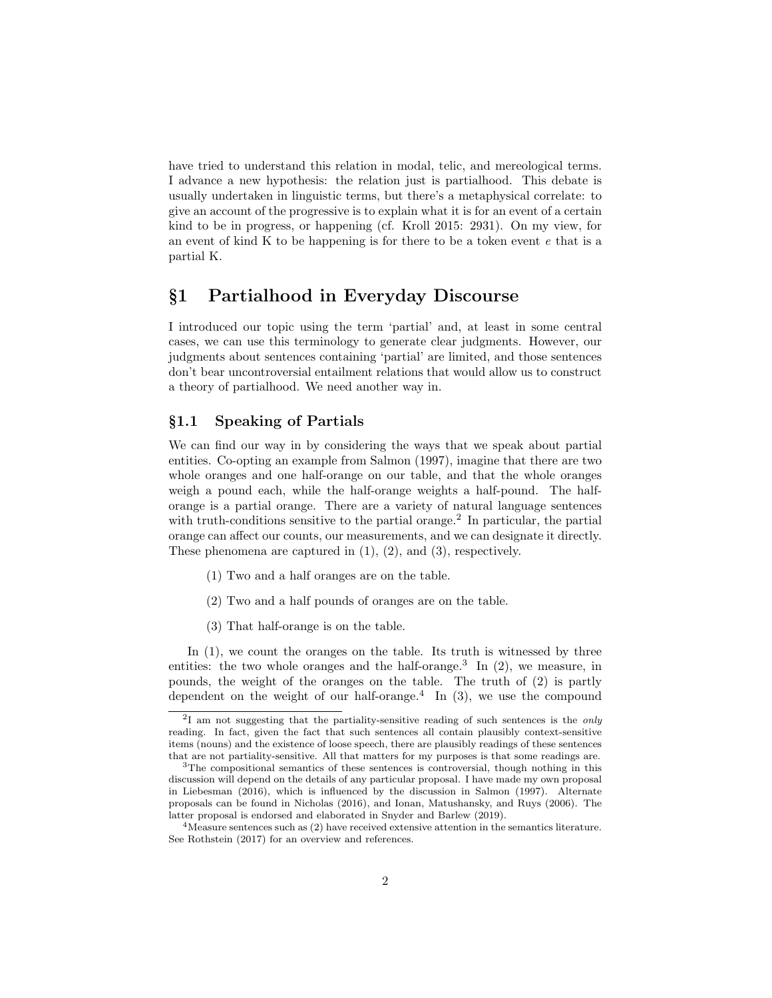have tried to understand this relation in modal, telic, and mereological terms. I advance a new hypothesis: the relation just is partialhood. This debate is usually undertaken in linguistic terms, but there's a metaphysical correlate: to give an account of the progressive is to explain what it is for an event of a certain kind to be in progress, or happening (cf. Kroll 2015: 2931). On my view, for an event of kind K to be happening is for there to be a token event  $e$  that is a partial K.

# §1 Partialhood in Everyday Discourse

I introduced our topic using the term 'partial' and, at least in some central cases, we can use this terminology to generate clear judgments. However, our judgments about sentences containing 'partial' are limited, and those sentences don't bear uncontroversial entailment relations that would allow us to construct a theory of partialhood. We need another way in.

## §1.1 Speaking of Partials

We can find our way in by considering the ways that we speak about partial entities. Co-opting an example from Salmon (1997), imagine that there are two whole oranges and one half-orange on our table, and that the whole oranges weigh a pound each, while the half-orange weights a half-pound. The halforange is a partial orange. There are a variety of natural language sentences with truth-conditions sensitive to the partial orange.<sup>2</sup> In particular, the partial orange can affect our counts, our measurements, and we can designate it directly. These phenomena are captured in (1), (2), and (3), respectively.

- (1) Two and a half oranges are on the table.
- (2) Two and a half pounds of oranges are on the table.
- (3) That half-orange is on the table.

In  $(1)$ , we count the oranges on the table. Its truth is witnessed by three entities: the two whole oranges and the half-orange.<sup>3</sup> In  $(2)$ , we measure, in pounds, the weight of the oranges on the table. The truth of (2) is partly dependent on the weight of our half-orange.<sup>4</sup> In  $(3)$ , we use the compound

 $2I$  am not suggesting that the partiality-sensitive reading of such sentences is the *only* reading. In fact, given the fact that such sentences all contain plausibly context-sensitive items (nouns) and the existence of loose speech, there are plausibly readings of these sentences that are not partiality-sensitive. All that matters for my purposes is that some readings are.

<sup>&</sup>lt;sup>3</sup>The compositional semantics of these sentences is controversial, though nothing in this discussion will depend on the details of any particular proposal. I have made my own proposal in Liebesman (2016), which is influenced by the discussion in Salmon (1997). Alternate proposals can be found in Nicholas (2016), and Ionan, Matushansky, and Ruys (2006). The latter proposal is endorsed and elaborated in Snyder and Barlew (2019).

<sup>4</sup>Measure sentences such as (2) have received extensive attention in the semantics literature. See Rothstein (2017) for an overview and references.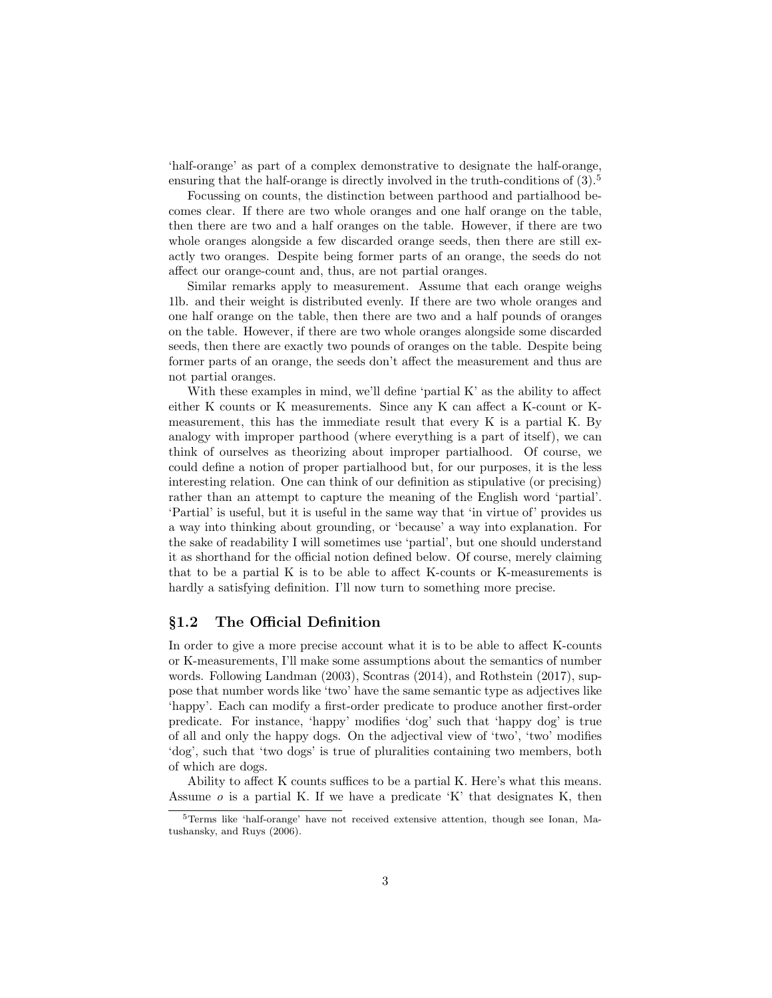'half-orange' as part of a complex demonstrative to designate the half-orange, ensuring that the half-orange is directly involved in the truth-conditions of  $(3)$ .<sup>5</sup>

Focussing on counts, the distinction between parthood and partialhood becomes clear. If there are two whole oranges and one half orange on the table, then there are two and a half oranges on the table. However, if there are two whole oranges alongside a few discarded orange seeds, then there are still exactly two oranges. Despite being former parts of an orange, the seeds do not affect our orange-count and, thus, are not partial oranges.

Similar remarks apply to measurement. Assume that each orange weighs 1lb. and their weight is distributed evenly. If there are two whole oranges and one half orange on the table, then there are two and a half pounds of oranges on the table. However, if there are two whole oranges alongside some discarded seeds, then there are exactly two pounds of oranges on the table. Despite being former parts of an orange, the seeds don't affect the measurement and thus are not partial oranges.

With these examples in mind, we'll define 'partial K' as the ability to affect either K counts or K measurements. Since any K can affect a K-count or Kmeasurement, this has the immediate result that every K is a partial K. By analogy with improper parthood (where everything is a part of itself), we can think of ourselves as theorizing about improper partialhood. Of course, we could define a notion of proper partialhood but, for our purposes, it is the less interesting relation. One can think of our definition as stipulative (or precising) rather than an attempt to capture the meaning of the English word 'partial'. 'Partial' is useful, but it is useful in the same way that 'in virtue of' provides us a way into thinking about grounding, or 'because' a way into explanation. For the sake of readability I will sometimes use 'partial', but one should understand it as shorthand for the official notion defined below. Of course, merely claiming that to be a partial K is to be able to affect K-counts or K-measurements is hardly a satisfying definition. I'll now turn to something more precise.

#### §1.2 The Official Definition

In order to give a more precise account what it is to be able to affect K-counts or K-measurements, I'll make some assumptions about the semantics of number words. Following Landman (2003), Scontras (2014), and Rothstein (2017), suppose that number words like 'two' have the same semantic type as adjectives like 'happy'. Each can modify a first-order predicate to produce another first-order predicate. For instance, 'happy' modifies 'dog' such that 'happy dog' is true of all and only the happy dogs. On the adjectival view of 'two', 'two' modifies 'dog', such that 'two dogs' is true of pluralities containing two members, both of which are dogs.

Ability to affect K counts suffices to be a partial K. Here's what this means. Assume  $o$  is a partial K. If we have a predicate 'K' that designates K, then

<sup>5</sup>Terms like 'half-orange' have not received extensive attention, though see Ionan, Matushansky, and Ruys (2006).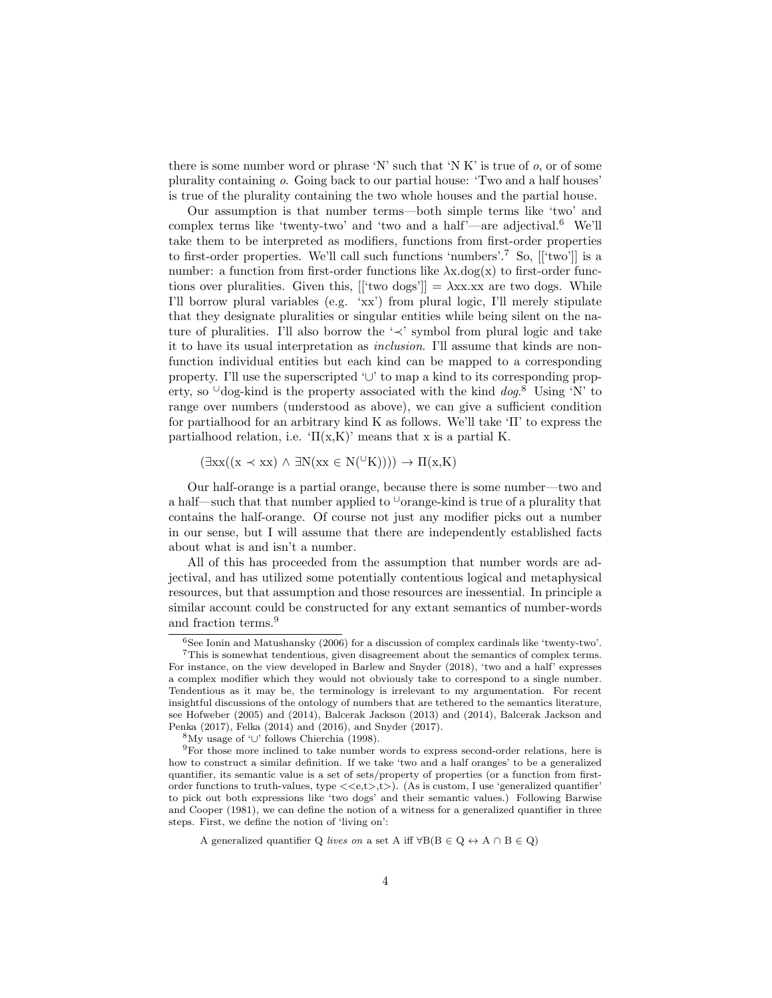there is some number word or phrase 'N' such that 'N K' is true of  $o$ , or of some plurality containing o. Going back to our partial house: 'Two and a half houses' is true of the plurality containing the two whole houses and the partial house.

Our assumption is that number terms—both simple terms like 'two' and complex terms like 'twenty-two' and 'two and a half'—are adjectival.<sup>6</sup> We'll take them to be interpreted as modifiers, functions from first-order properties to first-order properties. We'll call such functions 'numbers'.<sup>7</sup> So,  $[[\text{`two'}]]$  is a number: a function from first-order functions like  $\lambda x \cdot dog(x)$  to first-order functions over pluralities. Given this,  $[[\text{`two dogs'}]] = \lambda x x. x x$  are two dogs. While I'll borrow plural variables (e.g. 'xx') from plural logic, I'll merely stipulate that they designate pluralities or singular entities while being silent on the nature of pluralities. I'll also borrow the '≺' symbol from plural logic and take it to have its usual interpretation as inclusion. I'll assume that kinds are nonfunction individual entities but each kind can be mapped to a corresponding property. I'll use the superscripted '∪' to map a kind to its corresponding property, so  $\cup$ dog-kind is the property associated with the kind dog.<sup>8</sup> Using 'N' to range over numbers (understood as above), we can give a sufficient condition for partialhood for an arbitrary kind K as follows. We'll take 'Π' to express the partialhood relation, i.e.  $\Pi(x,K)'$  means that x is a partial K.

 $(\exists xx((x \prec xx) \land \exists N(xx \in N(^{\cup}K)))) \rightarrow \Pi(x,K)$ 

Our half-orange is a partial orange, because there is some number—two and a half—such that that number applied to  $\cup$ orange-kind is true of a plurality that contains the half-orange. Of course not just any modifier picks out a number in our sense, but I will assume that there are independently established facts about what is and isn't a number.

All of this has proceeded from the assumption that number words are adjectival, and has utilized some potentially contentious logical and metaphysical resources, but that assumption and those resources are inessential. In principle a similar account could be constructed for any extant semantics of number-words and fraction terms.<sup>9</sup>

<sup>6</sup>See Ionin and Matushansky (2006) for a discussion of complex cardinals like 'twenty-two'. <sup>7</sup>This is somewhat tendentious, given disagreement about the semantics of complex terms.

For instance, on the view developed in Barlew and Snyder (2018), 'two and a half' expresses a complex modifier which they would not obviously take to correspond to a single number. Tendentious as it may be, the terminology is irrelevant to my argumentation. For recent insightful discussions of the ontology of numbers that are tethered to the semantics literature, see Hofweber (2005) and (2014), Balcerak Jackson (2013) and (2014), Balcerak Jackson and Penka (2017), Felka (2014) and (2016), and Snyder (2017).

<sup>8</sup>My usage of '∪' follows Chierchia (1998).

 $9$ For those more inclined to take number words to express second-order relations, here is how to construct a similar definition. If we take 'two and a half oranges' to be a generalized quantifier, its semantic value is a set of sets/property of properties (or a function from firstorder functions to truth-values, type  $\langle \langle e,t\rangle, t\rangle$ . (As is custom, I use 'generalized quantifier' to pick out both expressions like 'two dogs' and their semantic values.) Following Barwise and Cooper (1981), we can define the notion of a witness for a generalized quantifier in three steps. First, we define the notion of 'living on':

A generalized quantifier Q lives on a set A iff  $\forall B(B \in Q \leftrightarrow A \cap B \in Q)$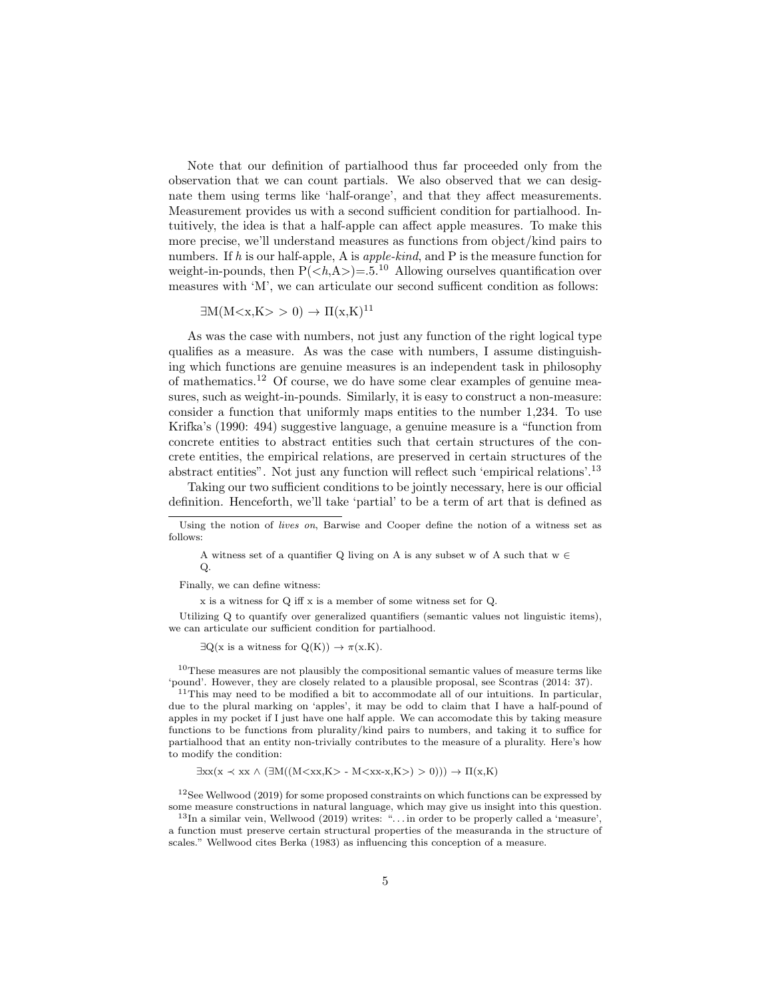Note that our definition of partialhood thus far proceeded only from the observation that we can count partials. We also observed that we can designate them using terms like 'half-orange', and that they affect measurements. Measurement provides us with a second sufficient condition for partialhood. Intuitively, the idea is that a half-apple can affect apple measures. To make this more precise, we'll understand measures as functions from object/kind pairs to numbers. If h is our half-apple, A is *apple-kind*, and P is the measure function for weight-in-pounds, then  $P(\langle h, A \rangle) = 0.5$ <sup>10</sup> Allowing ourselves quantification over measures with 'M', we can articulate our second sufficent condition as follows:

$$
\exists M(M < x, K > 0) \to \Pi(x, K)^{11}
$$

As was the case with numbers, not just any function of the right logical type qualifies as a measure. As was the case with numbers, I assume distinguishing which functions are genuine measures is an independent task in philosophy of mathematics.<sup>12</sup> Of course, we do have some clear examples of genuine measures, such as weight-in-pounds. Similarly, it is easy to construct a non-measure: consider a function that uniformly maps entities to the number 1,234. To use Krifka's (1990: 494) suggestive language, a genuine measure is a "function from concrete entities to abstract entities such that certain structures of the concrete entities, the empirical relations, are preserved in certain structures of the abstract entities". Not just any function will reflect such 'empirical relations'.<sup>13</sup>

Taking our two sufficient conditions to be jointly necessary, here is our official definition. Henceforth, we'll take 'partial' to be a term of art that is defined as

A witness set of a quantifier Q living on A is any subset w of A such that  $w \in$ Q.

Finally, we can define witness:

x is a witness for Q iff x is a member of some witness set for Q.

Utilizing Q to quantify over generalized quantifiers (semantic values not linguistic items), we can articulate our sufficient condition for partialhood.

 $\exists Q(x \text{ is a witness for } Q(K)) \rightarrow \pi(x.K).$ 

<sup>10</sup>These measures are not plausibly the compositional semantic values of measure terms like 'pound'. However, they are closely related to a plausible proposal, see Scontras (2014: 37).

 $11$ This may need to be modified a bit to accommodate all of our intuitions. In particular, due to the plural marking on 'apples', it may be odd to claim that I have a half-pound of apples in my pocket if I just have one half apple. We can accomodate this by taking measure functions to be functions from plurality/kind pairs to numbers, and taking it to suffice for partialhood that an entity non-trivially contributes to the measure of a plurality. Here's how to modify the condition:

$$
\exists xx(x \prec xx \land (\exists M((M- M)>0))) \to \Pi(x,K)
$$

 $12$ See Wellwood (2019) for some proposed constraints on which functions can be expressed by some measure constructions in natural language, which may give us insight into this question.

 $^{13}$ In a similar vein, Wellwood (2019) writes: "... in order to be properly called a 'measure', a function must preserve certain structural properties of the measuranda in the structure of scales." Wellwood cites Berka (1983) as influencing this conception of a measure.

Using the notion of lives on, Barwise and Cooper define the notion of a witness set as follows: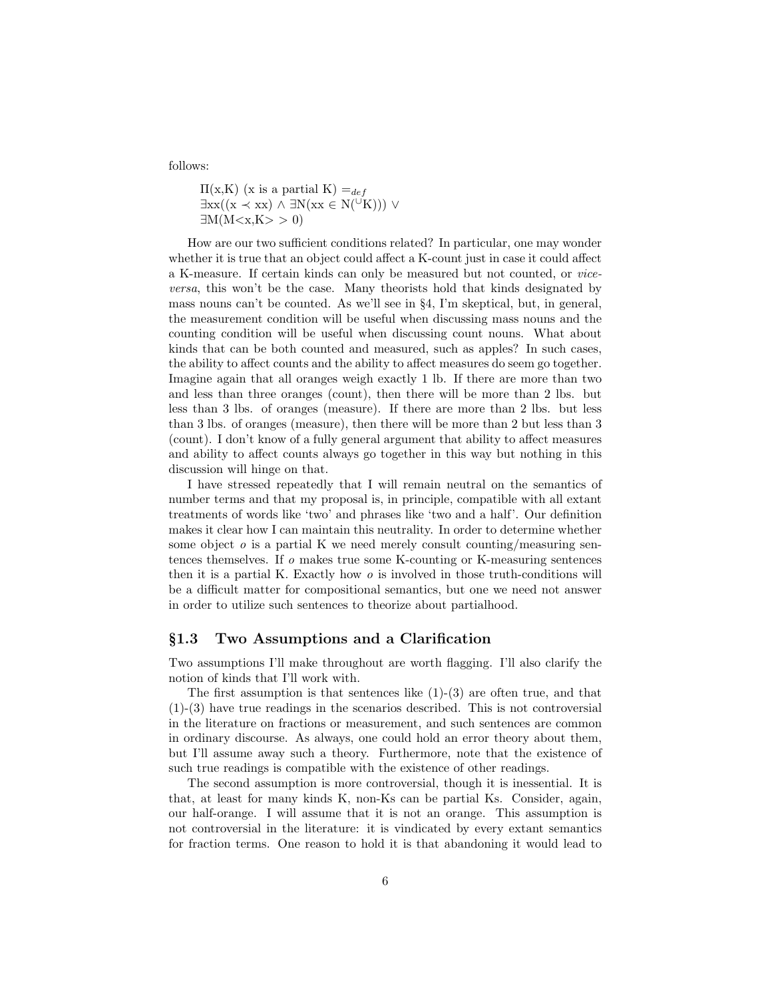follows:

 $\Pi(x,K)$  (x is a partial K) =  $_{def}$  $\exists xx((x \prec xx) \land \exists N(xx \in N(^{\cup}K))) \lor$  $\exists M(M\langle x,K\rangle > 0)$ 

How are our two sufficient conditions related? In particular, one may wonder whether it is true that an object could affect a K-count just in case it could affect a K-measure. If certain kinds can only be measured but not counted, or viceversa, this won't be the case. Many theorists hold that kinds designated by mass nouns can't be counted. As we'll see in §4, I'm skeptical, but, in general, the measurement condition will be useful when discussing mass nouns and the counting condition will be useful when discussing count nouns. What about kinds that can be both counted and measured, such as apples? In such cases, the ability to affect counts and the ability to affect measures do seem go together. Imagine again that all oranges weigh exactly 1 lb. If there are more than two and less than three oranges (count), then there will be more than 2 lbs. but less than 3 lbs. of oranges (measure). If there are more than 2 lbs. but less than 3 lbs. of oranges (measure), then there will be more than 2 but less than 3 (count). I don't know of a fully general argument that ability to affect measures and ability to affect counts always go together in this way but nothing in this discussion will hinge on that.

I have stressed repeatedly that I will remain neutral on the semantics of number terms and that my proposal is, in principle, compatible with all extant treatments of words like 'two' and phrases like 'two and a half'. Our definition makes it clear how I can maintain this neutrality. In order to determine whether some object  $o$  is a partial K we need merely consult counting/measuring sentences themselves. If o makes true some K-counting or K-measuring sentences then it is a partial K. Exactly how  $\sigma$  is involved in those truth-conditions will be a difficult matter for compositional semantics, but one we need not answer in order to utilize such sentences to theorize about partialhood.

#### §1.3 Two Assumptions and a Clarification

Two assumptions I'll make throughout are worth flagging. I'll also clarify the notion of kinds that I'll work with.

The first assumption is that sentences like  $(1)-(3)$  are often true, and that (1)-(3) have true readings in the scenarios described. This is not controversial in the literature on fractions or measurement, and such sentences are common in ordinary discourse. As always, one could hold an error theory about them, but I'll assume away such a theory. Furthermore, note that the existence of such true readings is compatible with the existence of other readings.

The second assumption is more controversial, though it is inessential. It is that, at least for many kinds K, non-Ks can be partial Ks. Consider, again, our half-orange. I will assume that it is not an orange. This assumption is not controversial in the literature: it is vindicated by every extant semantics for fraction terms. One reason to hold it is that abandoning it would lead to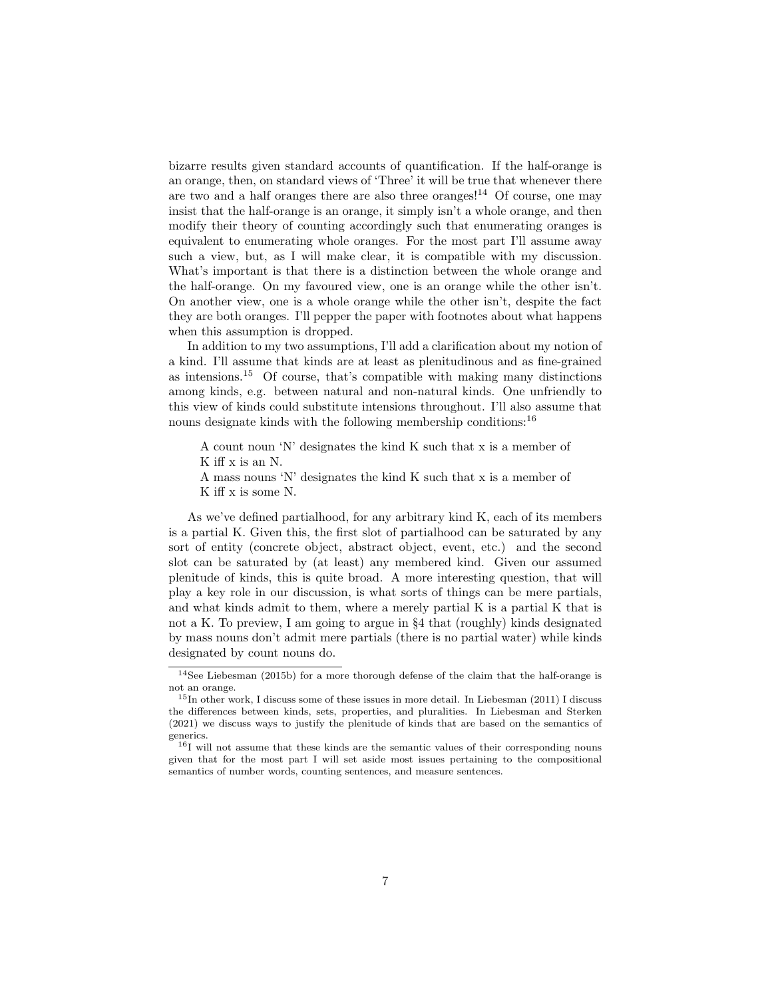bizarre results given standard accounts of quantification. If the half-orange is an orange, then, on standard views of 'Three' it will be true that whenever there are two and a half oranges there are also three oranges!<sup>14</sup> Of course, one may insist that the half-orange is an orange, it simply isn't a whole orange, and then modify their theory of counting accordingly such that enumerating oranges is equivalent to enumerating whole oranges. For the most part I'll assume away such a view, but, as I will make clear, it is compatible with my discussion. What's important is that there is a distinction between the whole orange and the half-orange. On my favoured view, one is an orange while the other isn't. On another view, one is a whole orange while the other isn't, despite the fact they are both oranges. I'll pepper the paper with footnotes about what happens when this assumption is dropped.

In addition to my two assumptions, I'll add a clarification about my notion of a kind. I'll assume that kinds are at least as plenitudinous and as fine-grained as intensions.<sup>15</sup> Of course, that's compatible with making many distinctions among kinds, e.g. between natural and non-natural kinds. One unfriendly to this view of kinds could substitute intensions throughout. I'll also assume that nouns designate kinds with the following membership conditions:<sup>16</sup>

- A count noun 'N' designates the kind K such that x is a member of K iff x is an N.
- A mass nouns 'N' designates the kind K such that x is a member of K iff x is some N.

As we've defined partialhood, for any arbitrary kind K, each of its members is a partial K. Given this, the first slot of partialhood can be saturated by any sort of entity (concrete object, abstract object, event, etc.) and the second slot can be saturated by (at least) any membered kind. Given our assumed plenitude of kinds, this is quite broad. A more interesting question, that will play a key role in our discussion, is what sorts of things can be mere partials, and what kinds admit to them, where a merely partial K is a partial K that is not a K. To preview, I am going to argue in §4 that (roughly) kinds designated by mass nouns don't admit mere partials (there is no partial water) while kinds designated by count nouns do.

<sup>14</sup>See Liebesman (2015b) for a more thorough defense of the claim that the half-orange is not an orange.

<sup>&</sup>lt;sup>15</sup>In other work, I discuss some of these issues in more detail. In Liebesman (2011) I discuss the differences between kinds, sets, properties, and pluralities. In Liebesman and Sterken (2021) we discuss ways to justify the plenitude of kinds that are based on the semantics of generics.

<sup>&</sup>lt;sup>16</sup>I will not assume that these kinds are the semantic values of their corresponding nouns given that for the most part I will set aside most issues pertaining to the compositional semantics of number words, counting sentences, and measure sentences.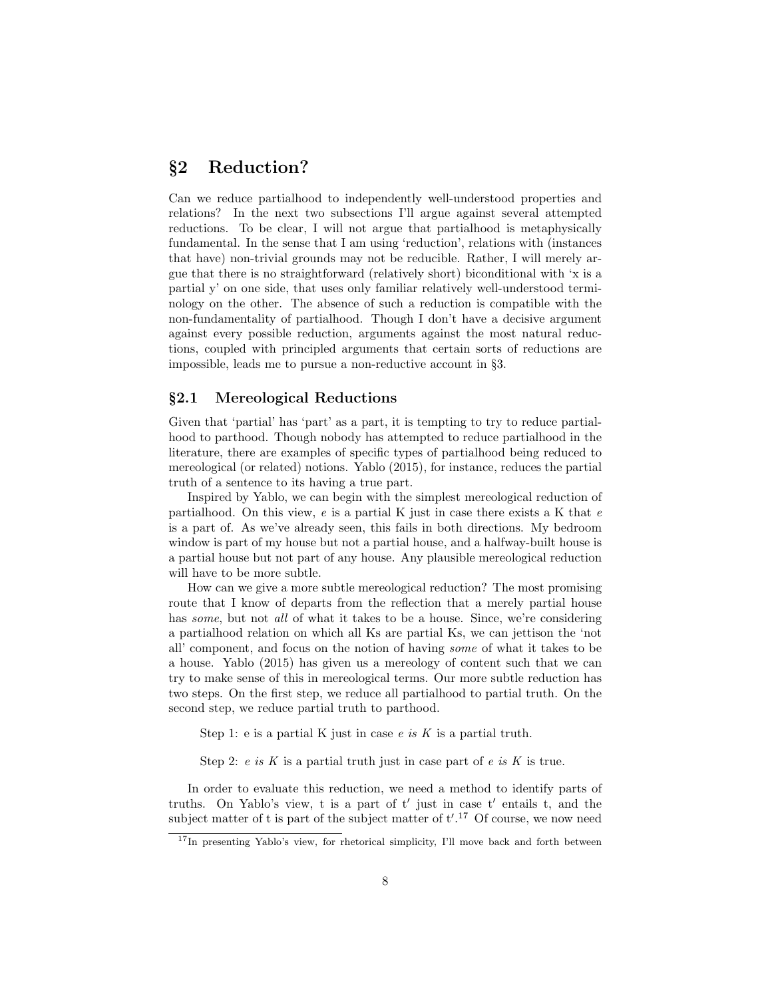# §2 Reduction?

Can we reduce partialhood to independently well-understood properties and relations? In the next two subsections I'll argue against several attempted reductions. To be clear, I will not argue that partialhood is metaphysically fundamental. In the sense that I am using 'reduction', relations with (instances that have) non-trivial grounds may not be reducible. Rather, I will merely argue that there is no straightforward (relatively short) biconditional with 'x is a partial y' on one side, that uses only familiar relatively well-understood terminology on the other. The absence of such a reduction is compatible with the non-fundamentality of partialhood. Though I don't have a decisive argument against every possible reduction, arguments against the most natural reductions, coupled with principled arguments that certain sorts of reductions are impossible, leads me to pursue a non-reductive account in §3.

## §2.1 Mereological Reductions

Given that 'partial' has 'part' as a part, it is tempting to try to reduce partialhood to parthood. Though nobody has attempted to reduce partialhood in the literature, there are examples of specific types of partialhood being reduced to mereological (or related) notions. Yablo (2015), for instance, reduces the partial truth of a sentence to its having a true part.

Inspired by Yablo, we can begin with the simplest mereological reduction of partialhood. On this view,  $e$  is a partial K just in case there exists a K that  $e$ is a part of. As we've already seen, this fails in both directions. My bedroom window is part of my house but not a partial house, and a halfway-built house is a partial house but not part of any house. Any plausible mereological reduction will have to be more subtle.

How can we give a more subtle mereological reduction? The most promising route that I know of departs from the reflection that a merely partial house has *some*, but not *all* of what it takes to be a house. Since, we're considering a partialhood relation on which all Ks are partial Ks, we can jettison the 'not all' component, and focus on the notion of having some of what it takes to be a house. Yablo (2015) has given us a mereology of content such that we can try to make sense of this in mereological terms. Our more subtle reduction has two steps. On the first step, we reduce all partialhood to partial truth. On the second step, we reduce partial truth to parthood.

Step 1: e is a partial K just in case  $e$  is K is a partial truth.

Step 2:  $e$  is  $K$  is a partial truth just in case part of  $e$  is  $K$  is true.

In order to evaluate this reduction, we need a method to identify parts of truths. On Yablo's view, t is a part of  $t'$  just in case  $t'$  entails t, and the subject matter of t is part of the subject matter of  $t'.^{17}$  Of course, we now need

<sup>&</sup>lt;sup>17</sup>In presenting Yablo's view, for rhetorical simplicity, I'll move back and forth between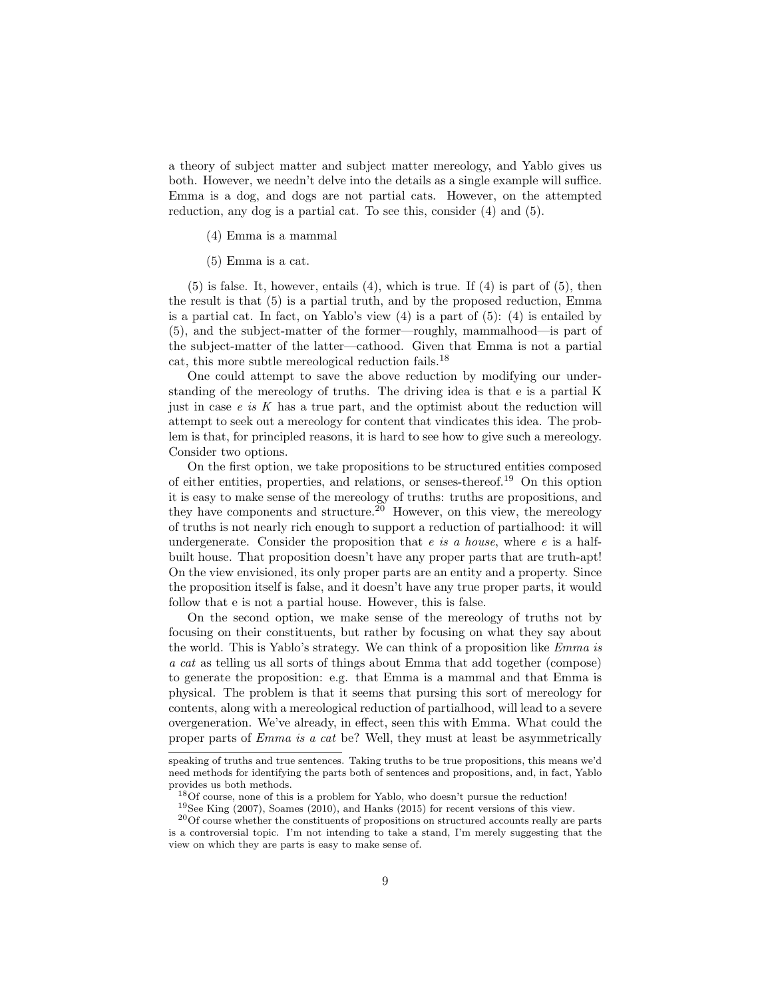a theory of subject matter and subject matter mereology, and Yablo gives us both. However, we needn't delve into the details as a single example will suffice. Emma is a dog, and dogs are not partial cats. However, on the attempted reduction, any dog is a partial cat. To see this, consider (4) and (5).

- (4) Emma is a mammal
- (5) Emma is a cat.

 $(5)$  is false. It, however, entails  $(4)$ , which is true. If  $(4)$  is part of  $(5)$ , then the result is that (5) is a partial truth, and by the proposed reduction, Emma is a partial cat. In fact, on Yablo's view  $(4)$  is a part of  $(5)$ :  $(4)$  is entailed by (5), and the subject-matter of the former—roughly, mammalhood—is part of the subject-matter of the latter—cathood. Given that Emma is not a partial cat, this more subtle mereological reduction fails.  $^{18}$ 

One could attempt to save the above reduction by modifying our understanding of the mereology of truths. The driving idea is that e is a partial K just in case  $e$  is  $K$  has a true part, and the optimist about the reduction will attempt to seek out a mereology for content that vindicates this idea. The problem is that, for principled reasons, it is hard to see how to give such a mereology. Consider two options.

On the first option, we take propositions to be structured entities composed of either entities, properties, and relations, or senses-thereof.<sup>19</sup> On this option it is easy to make sense of the mereology of truths: truths are propositions, and they have components and structure.<sup>20</sup> However, on this view, the mereology of truths is not nearly rich enough to support a reduction of partialhood: it will undergenerate. Consider the proposition that  $e$  is a house, where  $e$  is a halfbuilt house. That proposition doesn't have any proper parts that are truth-apt! On the view envisioned, its only proper parts are an entity and a property. Since the proposition itself is false, and it doesn't have any true proper parts, it would follow that e is not a partial house. However, this is false.

On the second option, we make sense of the mereology of truths not by focusing on their constituents, but rather by focusing on what they say about the world. This is Yablo's strategy. We can think of a proposition like Emma is a cat as telling us all sorts of things about Emma that add together (compose) to generate the proposition: e.g. that Emma is a mammal and that Emma is physical. The problem is that it seems that pursing this sort of mereology for contents, along with a mereological reduction of partialhood, will lead to a severe overgeneration. We've already, in effect, seen this with Emma. What could the proper parts of Emma is a cat be? Well, they must at least be asymmetrically

speaking of truths and true sentences. Taking truths to be true propositions, this means we'd need methods for identifying the parts both of sentences and propositions, and, in fact, Yablo provides us both methods.

<sup>18</sup>Of course, none of this is a problem for Yablo, who doesn't pursue the reduction! <sup>19</sup>See King (2007), Soames (2010), and Hanks (2015) for recent versions of this view.

<sup>20</sup>Of course whether the constituents of propositions on structured accounts really are parts is a controversial topic. I'm not intending to take a stand, I'm merely suggesting that the view on which they are parts is easy to make sense of.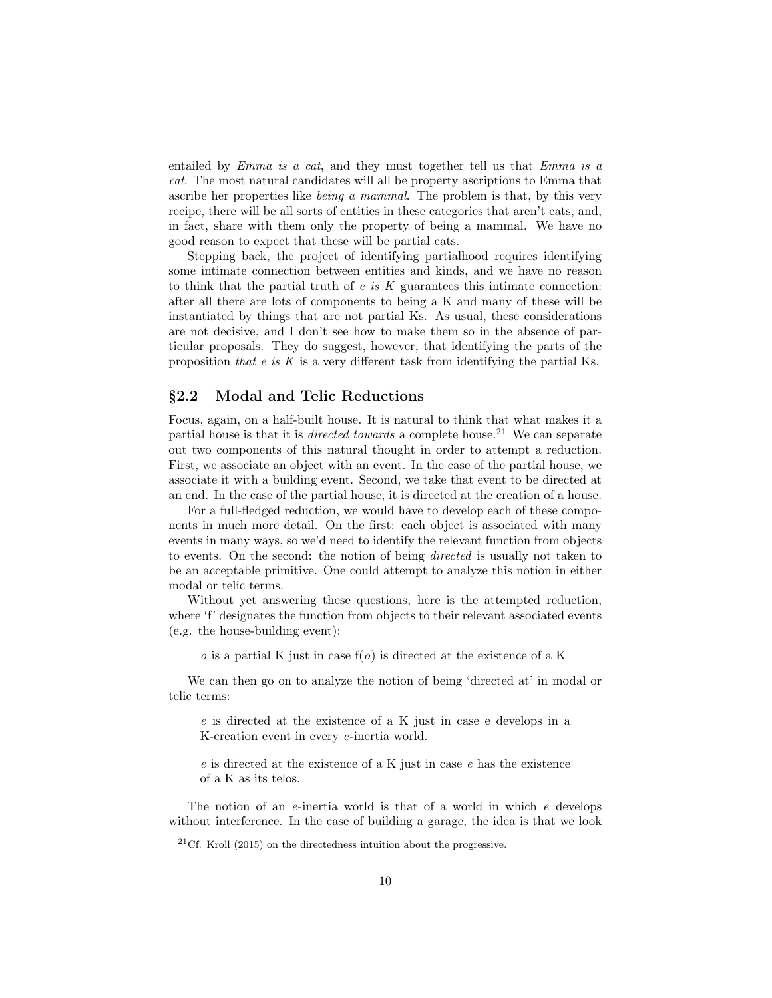entailed by Emma is a cat, and they must together tell us that Emma is a cat. The most natural candidates will all be property ascriptions to Emma that ascribe her properties like being a mammal. The problem is that, by this very recipe, there will be all sorts of entities in these categories that aren't cats, and, in fact, share with them only the property of being a mammal. We have no good reason to expect that these will be partial cats.

Stepping back, the project of identifying partialhood requires identifying some intimate connection between entities and kinds, and we have no reason to think that the partial truth of  $e$  is  $K$  guarantees this intimate connection: after all there are lots of components to being a K and many of these will be instantiated by things that are not partial Ks. As usual, these considerations are not decisive, and I don't see how to make them so in the absence of particular proposals. They do suggest, however, that identifying the parts of the proposition that  $e$  is K is a very different task from identifying the partial Ks.

#### §2.2 Modal and Telic Reductions

Focus, again, on a half-built house. It is natural to think that what makes it a partial house is that it is *directed towards* a complete house.<sup>21</sup> We can separate out two components of this natural thought in order to attempt a reduction. First, we associate an object with an event. In the case of the partial house, we associate it with a building event. Second, we take that event to be directed at an end. In the case of the partial house, it is directed at the creation of a house.

For a full-fledged reduction, we would have to develop each of these components in much more detail. On the first: each object is associated with many events in many ways, so we'd need to identify the relevant function from objects to events. On the second: the notion of being directed is usually not taken to be an acceptable primitive. One could attempt to analyze this notion in either modal or telic terms.

Without yet answering these questions, here is the attempted reduction, where 'f' designates the function from objects to their relevant associated events (e.g. the house-building event):

 $\alpha$  is a partial K just in case  $f(\alpha)$  is directed at the existence of a K

We can then go on to analyze the notion of being 'directed at' in modal or telic terms:

e is directed at the existence of a K just in case e develops in a K-creation event in every e-inertia world.

 $e$  is directed at the existence of a K just in case  $e$  has the existence of a K as its telos.

The notion of an e-inertia world is that of a world in which e develops without interference. In the case of building a garage, the idea is that we look

 $21$ Cf. Kroll (2015) on the directedness intuition about the progressive.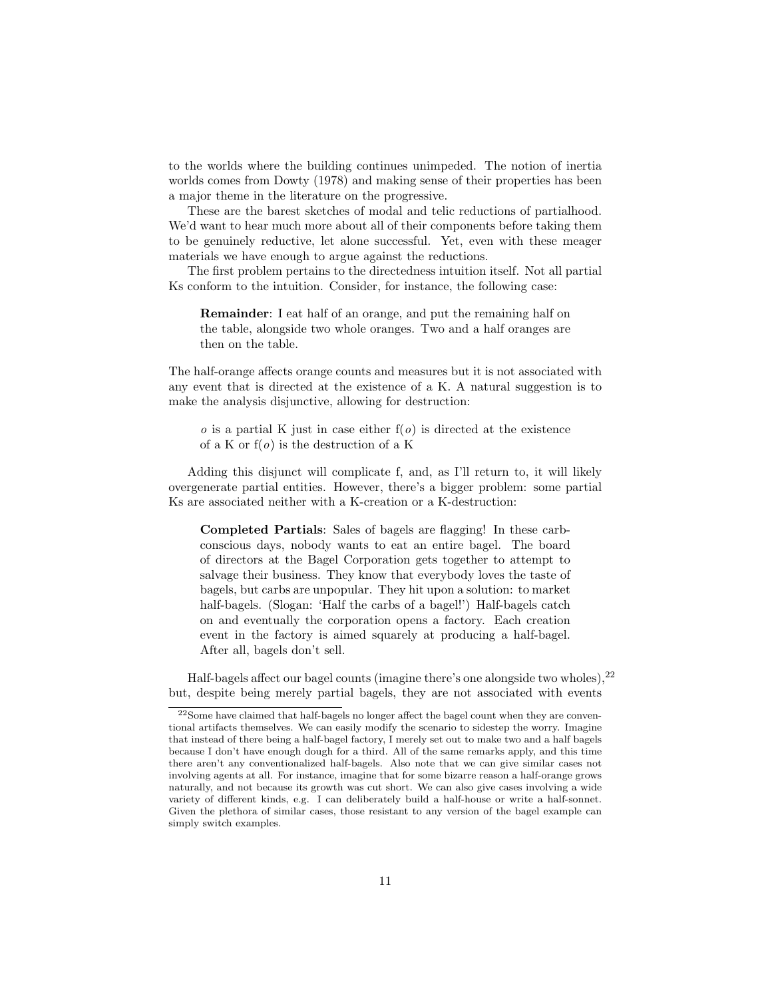to the worlds where the building continues unimpeded. The notion of inertia worlds comes from Dowty (1978) and making sense of their properties has been a major theme in the literature on the progressive.

These are the barest sketches of modal and telic reductions of partialhood. We'd want to hear much more about all of their components before taking them to be genuinely reductive, let alone successful. Yet, even with these meager materials we have enough to argue against the reductions.

The first problem pertains to the directedness intuition itself. Not all partial Ks conform to the intuition. Consider, for instance, the following case:

Remainder: I eat half of an orange, and put the remaining half on the table, alongside two whole oranges. Two and a half oranges are then on the table.

The half-orange affects orange counts and measures but it is not associated with any event that is directed at the existence of a K. A natural suggestion is to make the analysis disjunctive, allowing for destruction:

 $\alpha$  is a partial K just in case either  $f(\alpha)$  is directed at the existence of a K or  $f(0)$  is the destruction of a K

Adding this disjunct will complicate f, and, as I'll return to, it will likely overgenerate partial entities. However, there's a bigger problem: some partial Ks are associated neither with a K-creation or a K-destruction:

Completed Partials: Sales of bagels are flagging! In these carbconscious days, nobody wants to eat an entire bagel. The board of directors at the Bagel Corporation gets together to attempt to salvage their business. They know that everybody loves the taste of bagels, but carbs are unpopular. They hit upon a solution: to market half-bagels. (Slogan: 'Half the carbs of a bagel!') Half-bagels catch on and eventually the corporation opens a factory. Each creation event in the factory is aimed squarely at producing a half-bagel. After all, bagels don't sell.

Half-bagels affect our bagel counts (imagine there's one alongside two wholes),<sup>22</sup> but, despite being merely partial bagels, they are not associated with events

<sup>22</sup>Some have claimed that half-bagels no longer affect the bagel count when they are conventional artifacts themselves. We can easily modify the scenario to sidestep the worry. Imagine that instead of there being a half-bagel factory, I merely set out to make two and a half bagels because I don't have enough dough for a third. All of the same remarks apply, and this time there aren't any conventionalized half-bagels. Also note that we can give similar cases not involving agents at all. For instance, imagine that for some bizarre reason a half-orange grows naturally, and not because its growth was cut short. We can also give cases involving a wide variety of different kinds, e.g. I can deliberately build a half-house or write a half-sonnet. Given the plethora of similar cases, those resistant to any version of the bagel example can simply switch examples.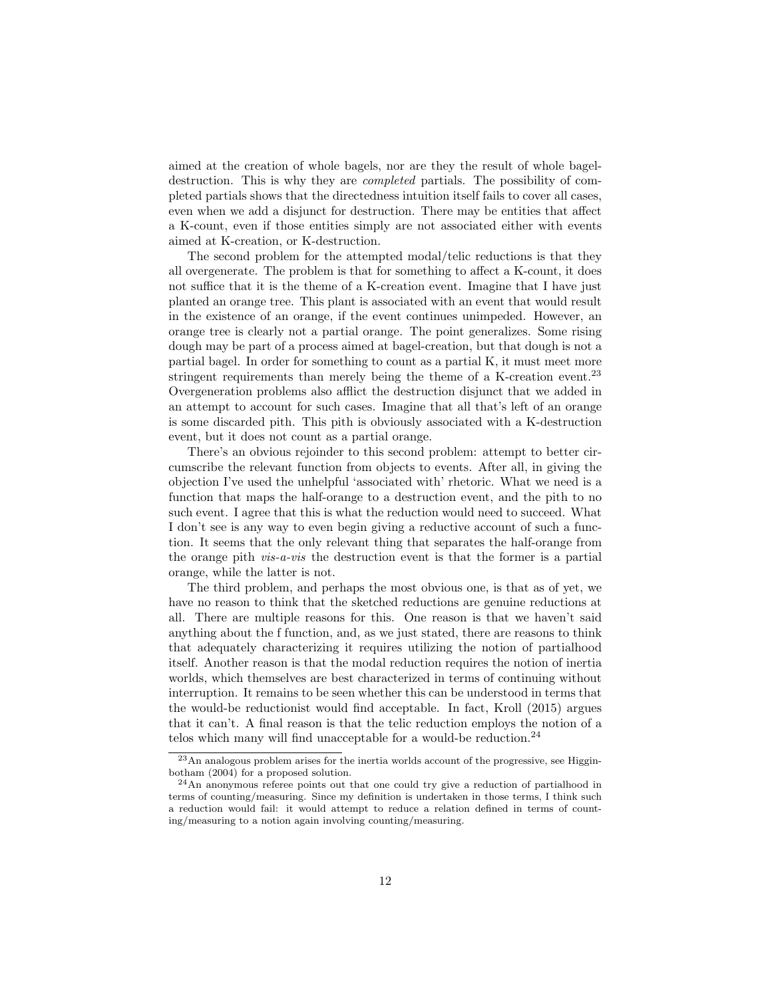aimed at the creation of whole bagels, nor are they the result of whole bageldestruction. This is why they are completed partials. The possibility of completed partials shows that the directedness intuition itself fails to cover all cases, even when we add a disjunct for destruction. There may be entities that affect a K-count, even if those entities simply are not associated either with events aimed at K-creation, or K-destruction.

The second problem for the attempted modal/telic reductions is that they all overgenerate. The problem is that for something to affect a K-count, it does not suffice that it is the theme of a K-creation event. Imagine that I have just planted an orange tree. This plant is associated with an event that would result in the existence of an orange, if the event continues unimpeded. However, an orange tree is clearly not a partial orange. The point generalizes. Some rising dough may be part of a process aimed at bagel-creation, but that dough is not a partial bagel. In order for something to count as a partial K, it must meet more stringent requirements than merely being the theme of a K-creation event.<sup>23</sup> Overgeneration problems also afflict the destruction disjunct that we added in an attempt to account for such cases. Imagine that all that's left of an orange is some discarded pith. This pith is obviously associated with a K-destruction event, but it does not count as a partial orange.

There's an obvious rejoinder to this second problem: attempt to better circumscribe the relevant function from objects to events. After all, in giving the objection I've used the unhelpful 'associated with' rhetoric. What we need is a function that maps the half-orange to a destruction event, and the pith to no such event. I agree that this is what the reduction would need to succeed. What I don't see is any way to even begin giving a reductive account of such a function. It seems that the only relevant thing that separates the half-orange from the orange pith vis-a-vis the destruction event is that the former is a partial orange, while the latter is not.

The third problem, and perhaps the most obvious one, is that as of yet, we have no reason to think that the sketched reductions are genuine reductions at all. There are multiple reasons for this. One reason is that we haven't said anything about the f function, and, as we just stated, there are reasons to think that adequately characterizing it requires utilizing the notion of partialhood itself. Another reason is that the modal reduction requires the notion of inertia worlds, which themselves are best characterized in terms of continuing without interruption. It remains to be seen whether this can be understood in terms that the would-be reductionist would find acceptable. In fact, Kroll (2015) argues that it can't. A final reason is that the telic reduction employs the notion of a telos which many will find unacceptable for a would-be reduction.<sup>24</sup>

 $^{23}\mathrm{An}$  analogous problem arises for the inertia worlds account of the progressive, see Higginbotham (2004) for a proposed solution.

<sup>24</sup>An anonymous referee points out that one could try give a reduction of partialhood in terms of counting/measuring. Since my definition is undertaken in those terms, I think such a reduction would fail: it would attempt to reduce a relation defined in terms of counting/measuring to a notion again involving counting/measuring.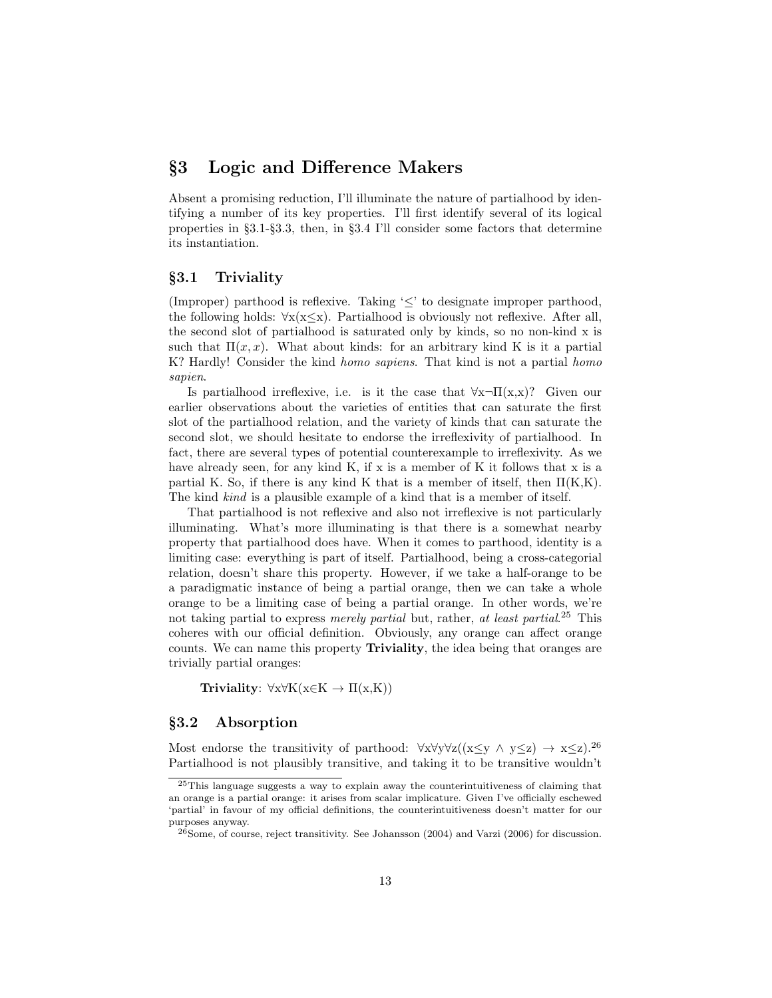# §3 Logic and Difference Makers

Absent a promising reduction, I'll illuminate the nature of partialhood by identifying a number of its key properties. I'll first identify several of its logical properties in §3.1-§3.3, then, in §3.4 I'll consider some factors that determine its instantiation.

## §3.1 Triviality

(Improper) parthood is reflexive. Taking '≤' to designate improper parthood, the following holds:  $\forall x(x\leq x)$ . Partialhood is obviously not reflexive. After all, the second slot of partialhood is saturated only by kinds, so no non-kind x is such that  $\Pi(x, x)$ . What about kinds: for an arbitrary kind K is it a partial K? Hardly! Consider the kind *homo sapiens*. That kind is not a partial *homo* sapien.

Is partialhood irreflexive, i.e. is it the case that  $\forall x\neg \Pi(x,x)$ ? Given our earlier observations about the varieties of entities that can saturate the first slot of the partialhood relation, and the variety of kinds that can saturate the second slot, we should hesitate to endorse the irreflexivity of partialhood. In fact, there are several types of potential counterexample to irreflexivity. As we have already seen, for any kind K, if x is a member of K it follows that x is a partial K. So, if there is any kind K that is a member of itself, then  $\Pi(K,K)$ . The kind kind is a plausible example of a kind that is a member of itself.

That partialhood is not reflexive and also not irreflexive is not particularly illuminating. What's more illuminating is that there is a somewhat nearby property that partialhood does have. When it comes to parthood, identity is a limiting case: everything is part of itself. Partialhood, being a cross-categorial relation, doesn't share this property. However, if we take a half-orange to be a paradigmatic instance of being a partial orange, then we can take a whole orange to be a limiting case of being a partial orange. In other words, we're not taking partial to express *merely partial* but, rather, at least partial.<sup>25</sup> This coheres with our official definition. Obviously, any orange can affect orange counts. We can name this property Triviality, the idea being that oranges are trivially partial oranges:

Triviality:  $\forall x \forall K(x \in K \rightarrow \Pi(x,K))$ 

#### §3.2 Absorption

Most endorse the transitivity of parthood:  $\forall x \forall y \forall z((x \leq y \land y \leq z) \rightarrow x \leq z).^{26}$ Partialhood is not plausibly transitive, and taking it to be transitive wouldn't

<sup>25</sup>This language suggests a way to explain away the counterintuitiveness of claiming that an orange is a partial orange: it arises from scalar implicature. Given I've officially eschewed 'partial' in favour of my official definitions, the counterintuitiveness doesn't matter for our purposes anyway.

 $^{26}$ Some, of course, reject transitivity. See Johansson (2004) and Varzi (2006) for discussion.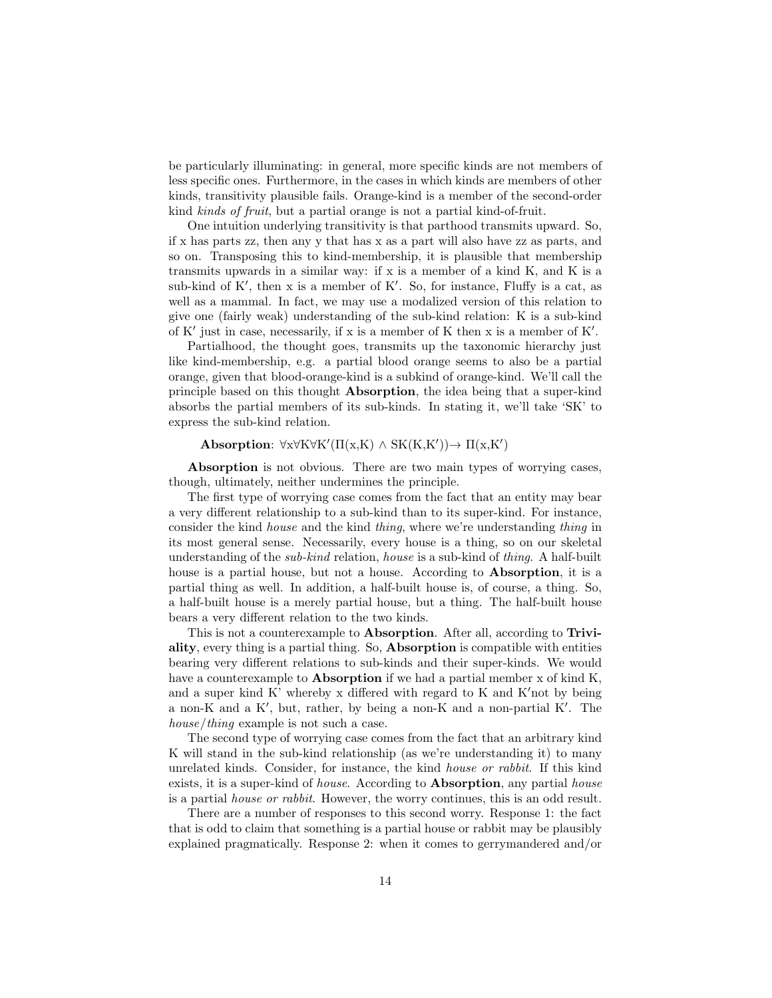be particularly illuminating: in general, more specific kinds are not members of less specific ones. Furthermore, in the cases in which kinds are members of other kinds, transitivity plausible fails. Orange-kind is a member of the second-order kind kinds of fruit, but a partial orange is not a partial kind-of-fruit.

One intuition underlying transitivity is that parthood transmits upward. So, if x has parts zz, then any y that has x as a part will also have zz as parts, and so on. Transposing this to kind-membership, it is plausible that membership transmits upwards in a similar way: if x is a member of a kind K, and K is a sub-kind of  $K'$ , then x is a member of  $K'$ . So, for instance, Fluffy is a cat, as well as a mammal. In fact, we may use a modalized version of this relation to give one (fairly weak) understanding of the sub-kind relation: K is a sub-kind of K' just in case, necessarily, if x is a member of K then x is a member of  $K'$ .

Partialhood, the thought goes, transmits up the taxonomic hierarchy just like kind-membership, e.g. a partial blood orange seems to also be a partial orange, given that blood-orange-kind is a subkind of orange-kind. We'll call the principle based on this thought Absorption, the idea being that a super-kind absorbs the partial members of its sub-kinds. In stating it, we'll take 'SK' to express the sub-kind relation.

## Absorption:  $\forall x \forall K \forall K'(\Pi(x,K) \land SK(K,K')) \rightarrow \Pi(x,K')$

Absorption is not obvious. There are two main types of worrying cases, though, ultimately, neither undermines the principle.

The first type of worrying case comes from the fact that an entity may bear a very different relationship to a sub-kind than to its super-kind. For instance, consider the kind house and the kind thing, where we're understanding thing in its most general sense. Necessarily, every house is a thing, so on our skeletal understanding of the sub-kind relation, house is a sub-kind of thing. A half-built house is a partial house, but not a house. According to Absorption, it is a partial thing as well. In addition, a half-built house is, of course, a thing. So, a half-built house is a merely partial house, but a thing. The half-built house bears a very different relation to the two kinds.

This is not a counterexample to Absorption. After all, according to Triviality, every thing is a partial thing. So, Absorption is compatible with entities bearing very different relations to sub-kinds and their super-kinds. We would have a counterexample to **Absorption** if we had a partial member x of kind K, and a super kind K' whereby x differed with regard to K and K'not by being a non-K and a K', but, rather, by being a non-K and a non-partial  $K'$ . The house/thing example is not such a case.

The second type of worrying case comes from the fact that an arbitrary kind K will stand in the sub-kind relationship (as we're understanding it) to many unrelated kinds. Consider, for instance, the kind house or rabbit. If this kind exists, it is a super-kind of *house*. According to **Absorption**, any partial *house* is a partial house or rabbit. However, the worry continues, this is an odd result.

There are a number of responses to this second worry. Response 1: the fact that is odd to claim that something is a partial house or rabbit may be plausibly explained pragmatically. Response 2: when it comes to gerrymandered and/or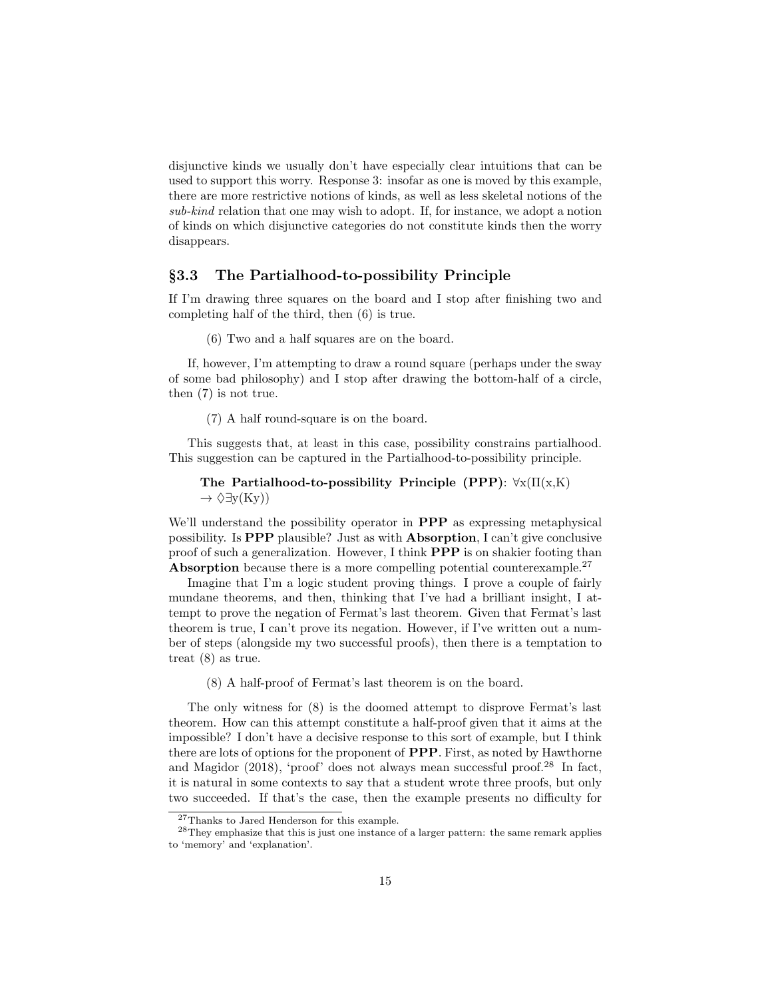disjunctive kinds we usually don't have especially clear intuitions that can be used to support this worry. Response 3: insofar as one is moved by this example, there are more restrictive notions of kinds, as well as less skeletal notions of the sub-kind relation that one may wish to adopt. If, for instance, we adopt a notion of kinds on which disjunctive categories do not constitute kinds then the worry disappears.

#### §3.3 The Partialhood-to-possibility Principle

If I'm drawing three squares on the board and I stop after finishing two and completing half of the third, then (6) is true.

(6) Two and a half squares are on the board.

If, however, I'm attempting to draw a round square (perhaps under the sway of some bad philosophy) and I stop after drawing the bottom-half of a circle, then (7) is not true.

(7) A half round-square is on the board.

This suggests that, at least in this case, possibility constrains partialhood. This suggestion can be captured in the Partialhood-to-possibility principle.

```
The Partialhood-to-possibility Principle (PPP): \forall x(\Pi(x,K))\rightarrow \Diamond \exists y(Ky))
```
We'll understand the possibility operator in **PPP** as expressing metaphysical possibility. Is PPP plausible? Just as with Absorption, I can't give conclusive proof of such a generalization. However, I think PPP is on shakier footing than Absorption because there is a more compelling potential counterexample.<sup>27</sup>

Imagine that I'm a logic student proving things. I prove a couple of fairly mundane theorems, and then, thinking that I've had a brilliant insight, I attempt to prove the negation of Fermat's last theorem. Given that Fermat's last theorem is true, I can't prove its negation. However, if I've written out a number of steps (alongside my two successful proofs), then there is a temptation to treat (8) as true.

(8) A half-proof of Fermat's last theorem is on the board.

The only witness for (8) is the doomed attempt to disprove Fermat's last theorem. How can this attempt constitute a half-proof given that it aims at the impossible? I don't have a decisive response to this sort of example, but I think there are lots of options for the proponent of PPP. First, as noted by Hawthorne and Magidor  $(2018)$ , 'proof' does not always mean successful proof.<sup>28</sup> In fact, it is natural in some contexts to say that a student wrote three proofs, but only two succeeded. If that's the case, then the example presents no difficulty for

<sup>27</sup>Thanks to Jared Henderson for this example.

<sup>&</sup>lt;sup>28</sup>They emphasize that this is just one instance of a larger pattern: the same remark applies to 'memory' and 'explanation'.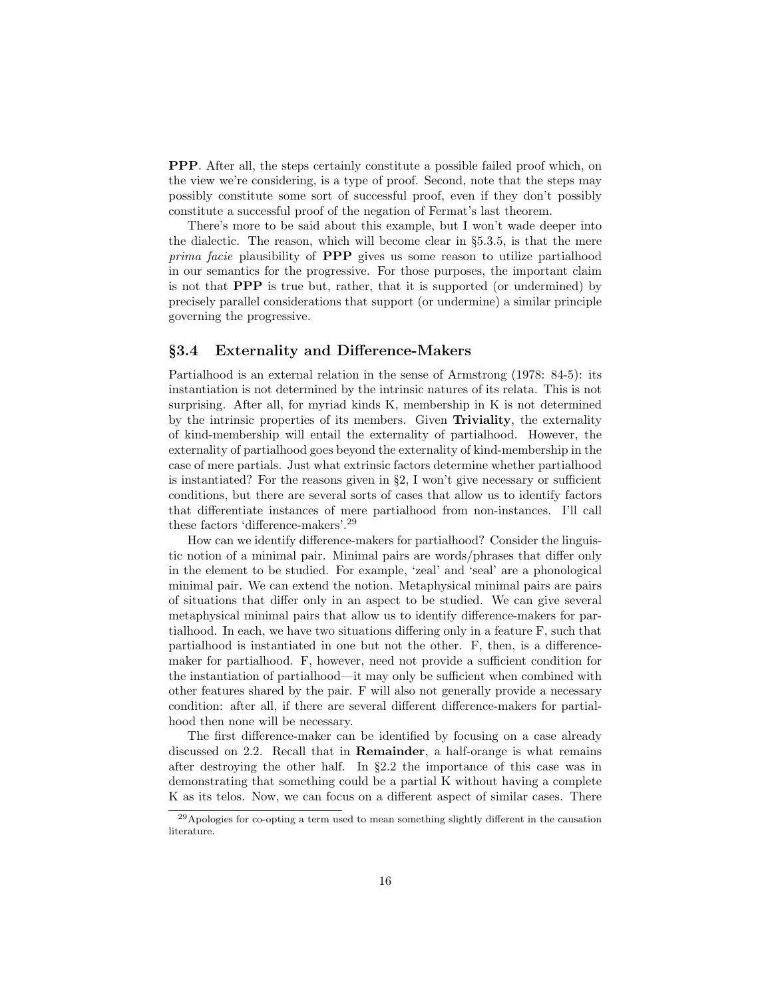PPP. After all, the steps certainly constitute a possible failed proof which, on the view we're considering, is a type of proof. Second, note that the steps may possibly constitute some sort of successful proof, even if they don't possibly constitute a successful proof of the negation of Fermat's last theorem.

There's more to be said about this example, but I won't wade deeper into the dialectic. The reason, which will become clear in §5.3.5, is that the mere prima facie plausibility of **PPP** gives us some reason to utilize partialhood in our semantics for the progressive. For those purposes, the important claim is not that PPP is true but, rather, that it is supported (or undermined) by precisely parallel considerations that support (or undermine) a similar principle governing the progressive.

### §3.4 Externality and Difference-Makers

Partialhood is an external relation in the sense of Armstrong (1978: 84-5): its instantiation is not determined by the intrinsic natures of its relata. This is not surprising. After all, for myriad kinds K, membership in K is not determined by the intrinsic properties of its members. Given Triviality, the externality of kind-membership will entail the externality of partialhood. However, the externality of partialhood goes beyond the externality of kind-membership in the case of mere partials. Just what extrinsic factors determine whether partialhood is instantiated? For the reasons given in  $\S2$ , I won't give necessary or sufficient conditions, but there are several sorts of cases that allow us to identify factors that differentiate instances of mere partialhood from non-instances. I'll call these factors 'difference-makers'.<sup>29</sup>

How can we identify difference-makers for partialhood? Consider the linguistic notion of a minimal pair. Minimal pairs are words/phrases that differ only in the element to be studied. For example, 'zeal' and 'seal' are a phonological minimal pair. We can extend the notion. Metaphysical minimal pairs are pairs of situations that differ only in an aspect to be studied. We can give several metaphysical minimal pairs that allow us to identify difference-makers for partialhood. In each, we have two situations differing only in a feature F, such that partialhood is instantiated in one but not the other. F, then, is a differencemaker for partialhood. F, however, need not provide a sufficient condition for the instantiation of partialhood—it may only be sufficient when combined with other features shared by the pair. F will also not generally provide a necessary condition: after all, if there are several different difference-makers for partialhood then none will be necessary.

The first difference-maker can be identified by focusing on a case already discussed on 2.2. Recall that in Remainder, a half-orange is what remains after destroying the other half. In §2.2 the importance of this case was in demonstrating that something could be a partial K without having a complete K as its telos. Now, we can focus on a different aspect of similar cases. There

<sup>29</sup>Apologies for co-opting a term used to mean something slightly different in the causation literature.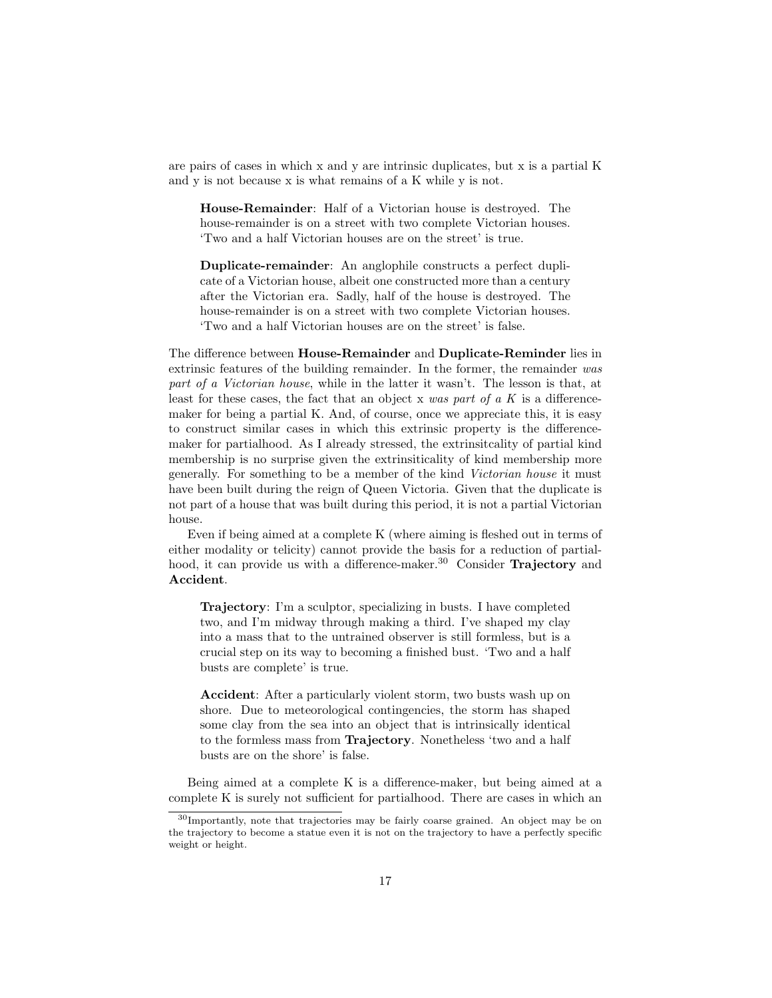are pairs of cases in which x and y are intrinsic duplicates, but x is a partial K and y is not because x is what remains of a K while y is not.

House-Remainder: Half of a Victorian house is destroyed. The house-remainder is on a street with two complete Victorian houses. 'Two and a half Victorian houses are on the street' is true.

Duplicate-remainder: An anglophile constructs a perfect duplicate of a Victorian house, albeit one constructed more than a century after the Victorian era. Sadly, half of the house is destroyed. The house-remainder is on a street with two complete Victorian houses. 'Two and a half Victorian houses are on the street' is false.

The difference between House-Remainder and Duplicate-Reminder lies in extrinsic features of the building remainder. In the former, the remainder was part of a Victorian house, while in the latter it wasn't. The lesson is that, at least for these cases, the fact that an object x was part of a K is a differencemaker for being a partial K. And, of course, once we appreciate this, it is easy to construct similar cases in which this extrinsic property is the differencemaker for partialhood. As I already stressed, the extrinsitcality of partial kind membership is no surprise given the extrinsiticality of kind membership more generally. For something to be a member of the kind Victorian house it must have been built during the reign of Queen Victoria. Given that the duplicate is not part of a house that was built during this period, it is not a partial Victorian house.

Even if being aimed at a complete K (where aiming is fleshed out in terms of either modality or telicity) cannot provide the basis for a reduction of partialhood, it can provide us with a difference-maker.<sup>30</sup> Consider **Trajectory** and Accident.

Trajectory: I'm a sculptor, specializing in busts. I have completed two, and I'm midway through making a third. I've shaped my clay into a mass that to the untrained observer is still formless, but is a crucial step on its way to becoming a finished bust. 'Two and a half busts are complete' is true.

Accident: After a particularly violent storm, two busts wash up on shore. Due to meteorological contingencies, the storm has shaped some clay from the sea into an object that is intrinsically identical to the formless mass from Trajectory. Nonetheless 'two and a half busts are on the shore' is false.

Being aimed at a complete K is a difference-maker, but being aimed at a complete K is surely not sufficient for partialhood. There are cases in which an

<sup>30</sup>Importantly, note that trajectories may be fairly coarse grained. An object may be on the trajectory to become a statue even it is not on the trajectory to have a perfectly specific weight or height.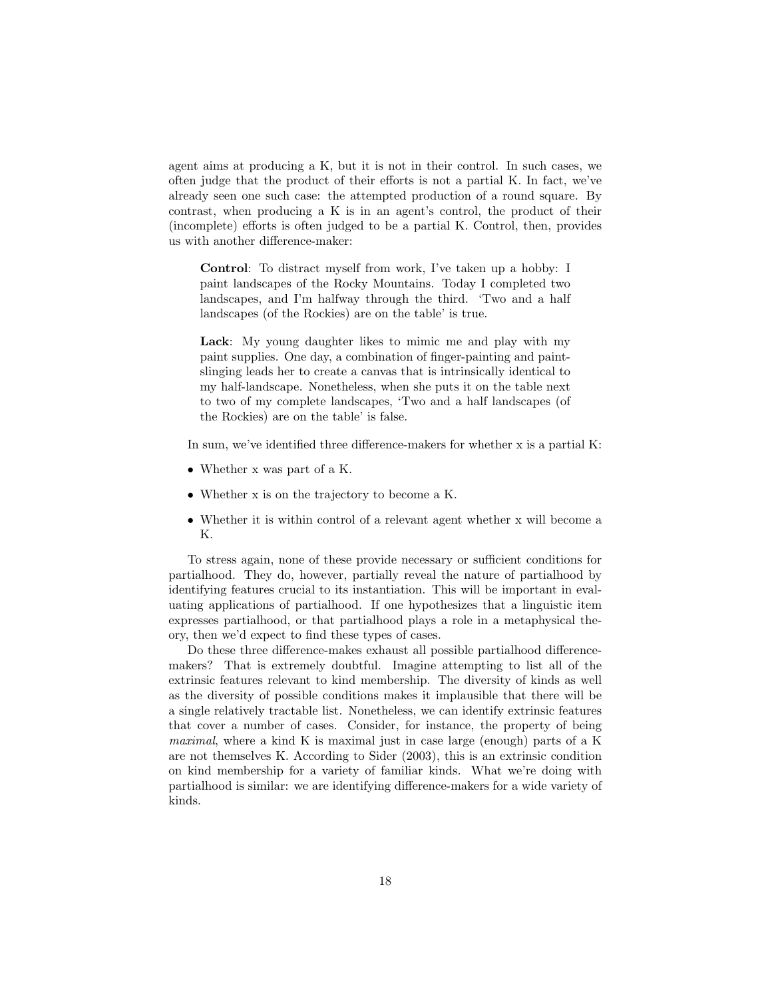agent aims at producing a K, but it is not in their control. In such cases, we often judge that the product of their efforts is not a partial K. In fact, we've already seen one such case: the attempted production of a round square. By contrast, when producing a K is in an agent's control, the product of their (incomplete) efforts is often judged to be a partial K. Control, then, provides us with another difference-maker:

Control: To distract myself from work, I've taken up a hobby: I paint landscapes of the Rocky Mountains. Today I completed two landscapes, and I'm halfway through the third. 'Two and a half landscapes (of the Rockies) are on the table' is true.

Lack: My young daughter likes to mimic me and play with my paint supplies. One day, a combination of finger-painting and paintslinging leads her to create a canvas that is intrinsically identical to my half-landscape. Nonetheless, when she puts it on the table next to two of my complete landscapes, 'Two and a half landscapes (of the Rockies) are on the table' is false.

In sum, we've identified three difference-makers for whether x is a partial K:

- Whether x was part of a K.
- Whether x is on the trajectory to become a K.
- Whether it is within control of a relevant agent whether x will become a K.

To stress again, none of these provide necessary or sufficient conditions for partialhood. They do, however, partially reveal the nature of partialhood by identifying features crucial to its instantiation. This will be important in evaluating applications of partialhood. If one hypothesizes that a linguistic item expresses partialhood, or that partialhood plays a role in a metaphysical theory, then we'd expect to find these types of cases.

Do these three difference-makes exhaust all possible partialhood differencemakers? That is extremely doubtful. Imagine attempting to list all of the extrinsic features relevant to kind membership. The diversity of kinds as well as the diversity of possible conditions makes it implausible that there will be a single relatively tractable list. Nonetheless, we can identify extrinsic features that cover a number of cases. Consider, for instance, the property of being maximal, where a kind K is maximal just in case large (enough) parts of a K are not themselves K. According to Sider (2003), this is an extrinsic condition on kind membership for a variety of familiar kinds. What we're doing with partialhood is similar: we are identifying difference-makers for a wide variety of kinds.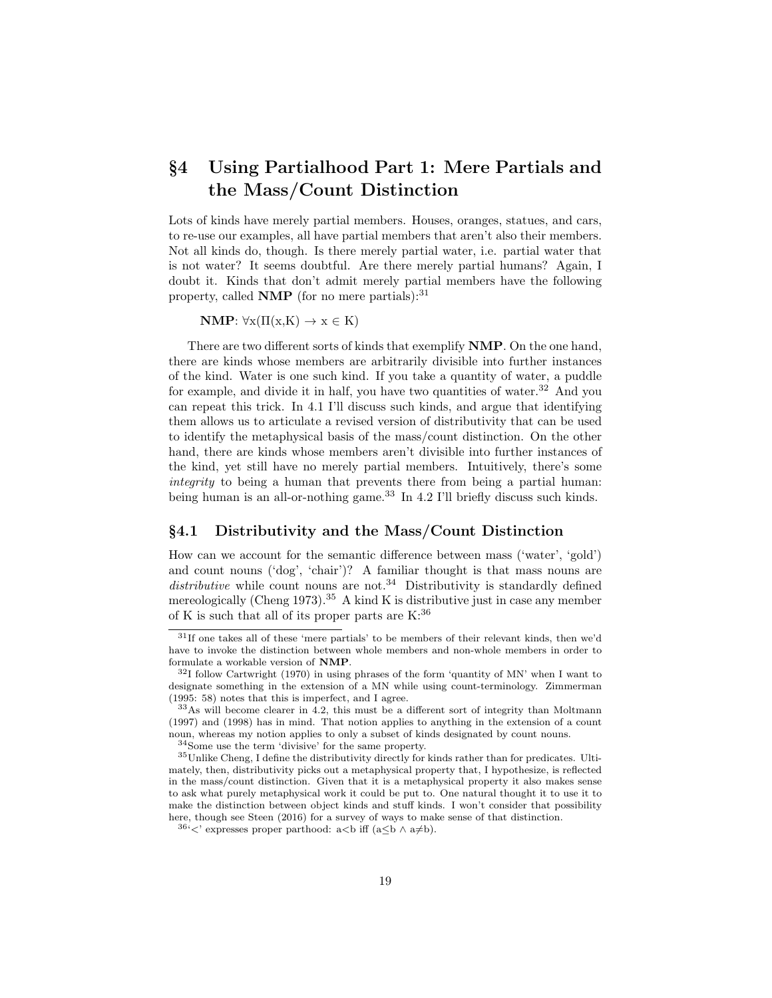# §4 Using Partialhood Part 1: Mere Partials and the Mass/Count Distinction

Lots of kinds have merely partial members. Houses, oranges, statues, and cars, to re-use our examples, all have partial members that aren't also their members. Not all kinds do, though. Is there merely partial water, i.e. partial water that is not water? It seems doubtful. Are there merely partial humans? Again, I doubt it. Kinds that don't admit merely partial members have the following property, called  $\bf NMP$  (for no mere partials):  $31$ 

 $\mathbf{NMP:} \forall x (\Pi(x,K) \rightarrow x \in K)$ 

There are two different sorts of kinds that exemplify NMP. On the one hand, there are kinds whose members are arbitrarily divisible into further instances of the kind. Water is one such kind. If you take a quantity of water, a puddle for example, and divide it in half, you have two quantities of water.<sup>32</sup> And you can repeat this trick. In 4.1 I'll discuss such kinds, and argue that identifying them allows us to articulate a revised version of distributivity that can be used to identify the metaphysical basis of the mass/count distinction. On the other hand, there are kinds whose members aren't divisible into further instances of the kind, yet still have no merely partial members. Intuitively, there's some integrity to being a human that prevents there from being a partial human: being human is an all-or-nothing game.<sup>33</sup> In 4.2 I'll briefly discuss such kinds.

#### §4.1 Distributivity and the Mass/Count Distinction

How can we account for the semantic difference between mass ('water', 'gold') and count nouns ('dog', 'chair')? A familiar thought is that mass nouns are distributive while count nouns are not.<sup>34</sup> Distributivity is standardly defined mereologically (Cheng 1973).<sup>35</sup> A kind K is distributive just in case any member of K is such that all of its proper parts are  $K:36$ 

<sup>31</sup>If one takes all of these 'mere partials' to be members of their relevant kinds, then we'd have to invoke the distinction between whole members and non-whole members in order to formulate a workable version of NMP.

 $32I$  follow Cartwright (1970) in using phrases of the form 'quantity of MN' when I want to designate something in the extension of a MN while using count-terminology. Zimmerman (1995: 58) notes that this is imperfect, and I agree.

<sup>33</sup>As will become clearer in 4.2, this must be a different sort of integrity than Moltmann (1997) and (1998) has in mind. That notion applies to anything in the extension of a count noun, whereas my notion applies to only a subset of kinds designated by count nouns.

<sup>34</sup>Some use the term 'divisive' for the same property.

<sup>35</sup>Unlike Cheng, I define the distributivity directly for kinds rather than for predicates. Ultimately, then, distributivity picks out a metaphysical property that, I hypothesize, is reflected in the mass/count distinction. Given that it is a metaphysical property it also makes sense to ask what purely metaphysical work it could be put to. One natural thought it to use it to make the distinction between object kinds and stuff kinds. I won't consider that possibility here, though see Steen (2016) for a survey of ways to make sense of that distinction.

<sup>&</sup>lt;sup>36</sup>'<' expresses proper parthood: a<br/>b iff (a≤b  $\land$  a≠b).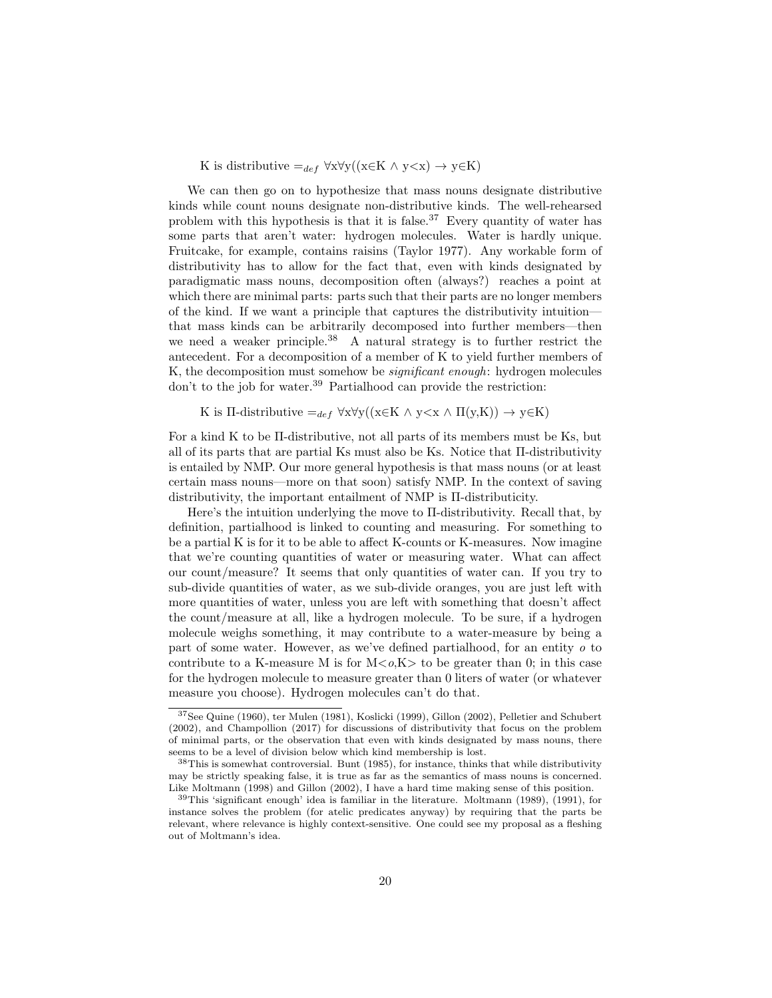K is distributive  $=_{def} \forall x \forall y((x \in K \land y \leq x) \rightarrow y \in K)$ 

We can then go on to hypothesize that mass nouns designate distributive kinds while count nouns designate non-distributive kinds. The well-rehearsed problem with this hypothesis is that it is false.<sup>37</sup> Every quantity of water has some parts that aren't water: hydrogen molecules. Water is hardly unique. Fruitcake, for example, contains raisins (Taylor 1977). Any workable form of distributivity has to allow for the fact that, even with kinds designated by paradigmatic mass nouns, decomposition often (always?) reaches a point at which there are minimal parts: parts such that their parts are no longer members of the kind. If we want a principle that captures the distributivity intuition that mass kinds can be arbitrarily decomposed into further members—then we need a weaker principle.<sup>38</sup> A natural strategy is to further restrict the antecedent. For a decomposition of a member of K to yield further members of K, the decomposition must somehow be significant enough: hydrogen molecules don't to the job for water.<sup>39</sup> Partialhood can provide the restriction:

K is II-distributive  $=_{def} \forall x \forall y ((x \in K \land y \le x \land \Pi(y,K)) \to y \in K)$ 

For a kind K to be Π-distributive, not all parts of its members must be Ks, but all of its parts that are partial Ks must also be Ks. Notice that Π-distributivity is entailed by NMP. Our more general hypothesis is that mass nouns (or at least certain mass nouns—more on that soon) satisfy NMP. In the context of saving distributivity, the important entailment of NMP is Π-distributicity.

Here's the intuition underlying the move to Π-distributivity. Recall that, by definition, partialhood is linked to counting and measuring. For something to be a partial K is for it to be able to affect K-counts or K-measures. Now imagine that we're counting quantities of water or measuring water. What can affect our count/measure? It seems that only quantities of water can. If you try to sub-divide quantities of water, as we sub-divide oranges, you are just left with more quantities of water, unless you are left with something that doesn't affect the count/measure at all, like a hydrogen molecule. To be sure, if a hydrogen molecule weighs something, it may contribute to a water-measure by being a part of some water. However, as we've defined partialhood, for an entity o to contribute to a K-measure M is for  $M < o, K$  to be greater than 0; in this case for the hydrogen molecule to measure greater than 0 liters of water (or whatever measure you choose). Hydrogen molecules can't do that.

<sup>37</sup>See Quine (1960), ter Mulen (1981), Koslicki (1999), Gillon (2002), Pelletier and Schubert (2002), and Champollion (2017) for discussions of distributivity that focus on the problem of minimal parts, or the observation that even with kinds designated by mass nouns, there seems to be a level of division below which kind membership is lost.

<sup>38</sup>This is somewhat controversial. Bunt (1985), for instance, thinks that while distributivity may be strictly speaking false, it is true as far as the semantics of mass nouns is concerned. Like Moltmann (1998) and Gillon (2002), I have a hard time making sense of this position.

<sup>39</sup>This 'significant enough' idea is familiar in the literature. Moltmann (1989), (1991), for instance solves the problem (for atelic predicates anyway) by requiring that the parts be relevant, where relevance is highly context-sensitive. One could see my proposal as a fleshing out of Moltmann's idea.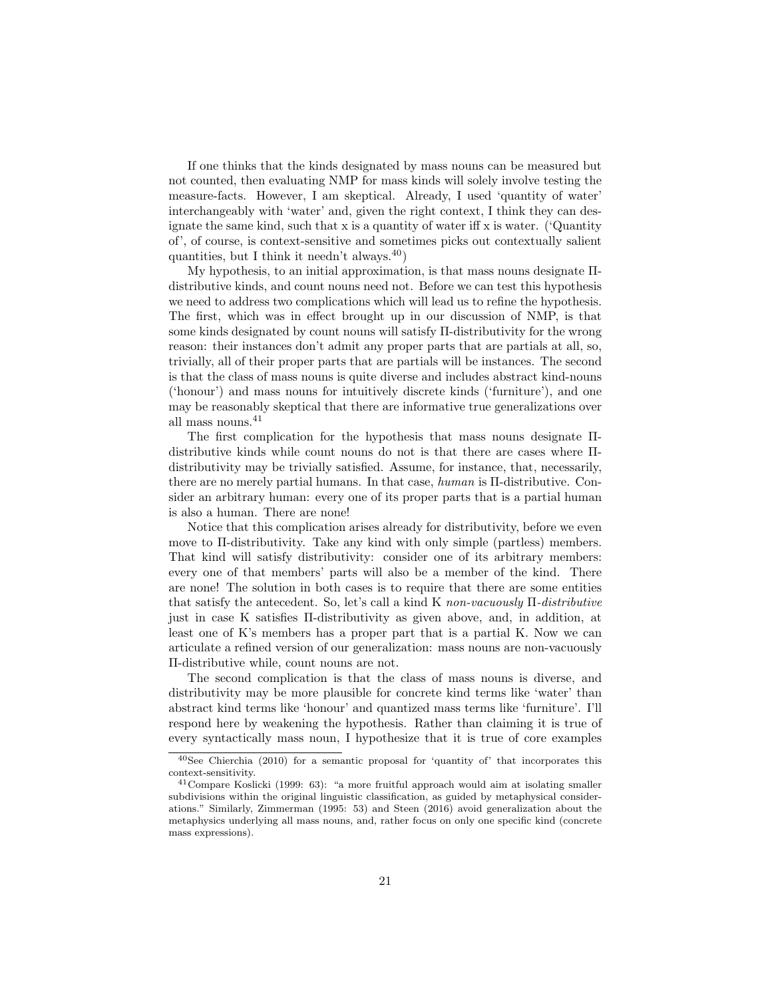If one thinks that the kinds designated by mass nouns can be measured but not counted, then evaluating NMP for mass kinds will solely involve testing the measure-facts. However, I am skeptical. Already, I used 'quantity of water' interchangeably with 'water' and, given the right context, I think they can designate the same kind, such that  $x$  is a quantity of water iff  $x$  is water. ('Quantity of', of course, is context-sensitive and sometimes picks out contextually salient quantities, but I think it needn't always.  $40$ )

My hypothesis, to an initial approximation, is that mass nouns designate Πdistributive kinds, and count nouns need not. Before we can test this hypothesis we need to address two complications which will lead us to refine the hypothesis. The first, which was in effect brought up in our discussion of NMP, is that some kinds designated by count nouns will satisfy Π-distributivity for the wrong reason: their instances don't admit any proper parts that are partials at all, so, trivially, all of their proper parts that are partials will be instances. The second is that the class of mass nouns is quite diverse and includes abstract kind-nouns ('honour') and mass nouns for intuitively discrete kinds ('furniture'), and one may be reasonably skeptical that there are informative true generalizations over all mass nouns.<sup>41</sup>

The first complication for the hypothesis that mass nouns designate Πdistributive kinds while count nouns do not is that there are cases where Πdistributivity may be trivially satisfied. Assume, for instance, that, necessarily, there are no merely partial humans. In that case, human is Π-distributive. Consider an arbitrary human: every one of its proper parts that is a partial human is also a human. There are none!

Notice that this complication arises already for distributivity, before we even move to Π-distributivity. Take any kind with only simple (partless) members. That kind will satisfy distributivity: consider one of its arbitrary members: every one of that members' parts will also be a member of the kind. There are none! The solution in both cases is to require that there are some entities that satisfy the antecedent. So, let's call a kind K non-vacuously  $\Pi$ -distributive just in case K satisfies Π-distributivity as given above, and, in addition, at least one of K's members has a proper part that is a partial K. Now we can articulate a refined version of our generalization: mass nouns are non-vacuously Π-distributive while, count nouns are not.

The second complication is that the class of mass nouns is diverse, and distributivity may be more plausible for concrete kind terms like 'water' than abstract kind terms like 'honour' and quantized mass terms like 'furniture'. I'll respond here by weakening the hypothesis. Rather than claiming it is true of every syntactically mass noun, I hypothesize that it is true of core examples

 $40$ See Chierchia (2010) for a semantic proposal for 'quantity of' that incorporates this context-sensitivity.

<sup>41</sup>Compare Koslicki (1999: 63): "a more fruitful approach would aim at isolating smaller subdivisions within the original linguistic classification, as guided by metaphysical considerations." Similarly, Zimmerman (1995: 53) and Steen (2016) avoid generalization about the metaphysics underlying all mass nouns, and, rather focus on only one specific kind (concrete mass expressions).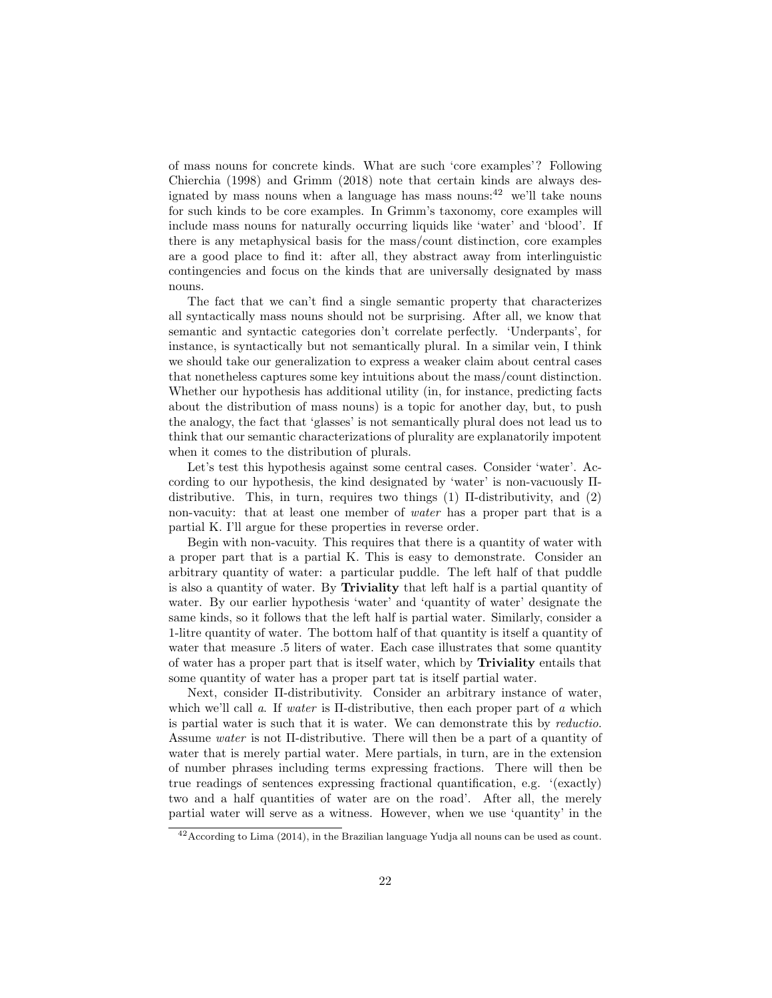of mass nouns for concrete kinds. What are such 'core examples'? Following Chierchia (1998) and Grimm (2018) note that certain kinds are always designated by mass nouns when a language has mass nouns: $^{42}$  we'll take nouns for such kinds to be core examples. In Grimm's taxonomy, core examples will include mass nouns for naturally occurring liquids like 'water' and 'blood'. If there is any metaphysical basis for the mass/count distinction, core examples are a good place to find it: after all, they abstract away from interlinguistic contingencies and focus on the kinds that are universally designated by mass nouns.

The fact that we can't find a single semantic property that characterizes all syntactically mass nouns should not be surprising. After all, we know that semantic and syntactic categories don't correlate perfectly. 'Underpants', for instance, is syntactically but not semantically plural. In a similar vein, I think we should take our generalization to express a weaker claim about central cases that nonetheless captures some key intuitions about the mass/count distinction. Whether our hypothesis has additional utility (in, for instance, predicting facts about the distribution of mass nouns) is a topic for another day, but, to push the analogy, the fact that 'glasses' is not semantically plural does not lead us to think that our semantic characterizations of plurality are explanatorily impotent when it comes to the distribution of plurals.

Let's test this hypothesis against some central cases. Consider 'water'. According to our hypothesis, the kind designated by 'water' is non-vacuously Πdistributive. This, in turn, requires two things (1) Π-distributivity, and (2) non-vacuity: that at least one member of water has a proper part that is a partial K. I'll argue for these properties in reverse order.

Begin with non-vacuity. This requires that there is a quantity of water with a proper part that is a partial K. This is easy to demonstrate. Consider an arbitrary quantity of water: a particular puddle. The left half of that puddle is also a quantity of water. By Triviality that left half is a partial quantity of water. By our earlier hypothesis 'water' and 'quantity of water' designate the same kinds, so it follows that the left half is partial water. Similarly, consider a 1-litre quantity of water. The bottom half of that quantity is itself a quantity of water that measure .5 liters of water. Each case illustrates that some quantity of water has a proper part that is itself water, which by Triviality entails that some quantity of water has a proper part tat is itself partial water.

Next, consider Π-distributivity. Consider an arbitrary instance of water, which we'll call a. If water is II-distributive, then each proper part of a which is partial water is such that it is water. We can demonstrate this by reductio. Assume water is not Π-distributive. There will then be a part of a quantity of water that is merely partial water. Mere partials, in turn, are in the extension of number phrases including terms expressing fractions. There will then be true readings of sentences expressing fractional quantification, e.g. '(exactly) two and a half quantities of water are on the road'. After all, the merely partial water will serve as a witness. However, when we use 'quantity' in the

<sup>42</sup>According to Lima (2014), in the Brazilian language Yudja all nouns can be used as count.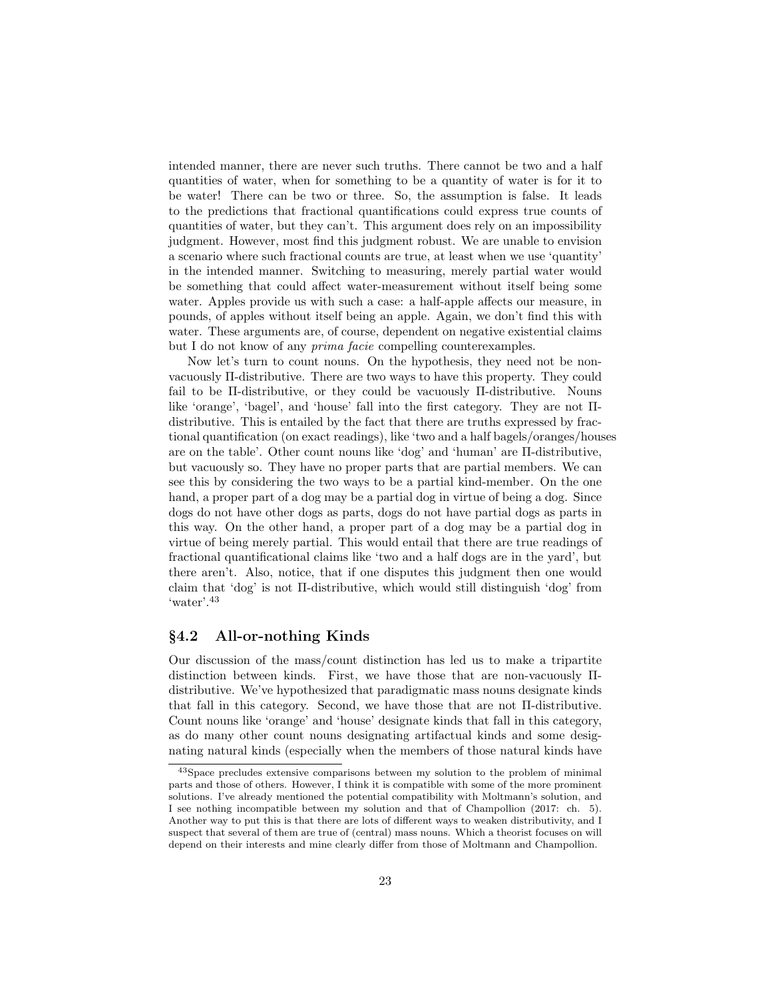intended manner, there are never such truths. There cannot be two and a half quantities of water, when for something to be a quantity of water is for it to be water! There can be two or three. So, the assumption is false. It leads to the predictions that fractional quantifications could express true counts of quantities of water, but they can't. This argument does rely on an impossibility judgment. However, most find this judgment robust. We are unable to envision a scenario where such fractional counts are true, at least when we use 'quantity' in the intended manner. Switching to measuring, merely partial water would be something that could affect water-measurement without itself being some water. Apples provide us with such a case: a half-apple affects our measure, in pounds, of apples without itself being an apple. Again, we don't find this with water. These arguments are, of course, dependent on negative existential claims but I do not know of any prima facie compelling counterexamples.

Now let's turn to count nouns. On the hypothesis, they need not be nonvacuously Π-distributive. There are two ways to have this property. They could fail to be Π-distributive, or they could be vacuously Π-distributive. Nouns like 'orange', 'bagel', and 'house' fall into the first category. They are not Πdistributive. This is entailed by the fact that there are truths expressed by fractional quantification (on exact readings), like 'two and a half bagels/oranges/houses are on the table'. Other count nouns like 'dog' and 'human' are Π-distributive, but vacuously so. They have no proper parts that are partial members. We can see this by considering the two ways to be a partial kind-member. On the one hand, a proper part of a dog may be a partial dog in virtue of being a dog. Since dogs do not have other dogs as parts, dogs do not have partial dogs as parts in this way. On the other hand, a proper part of a dog may be a partial dog in virtue of being merely partial. This would entail that there are true readings of fractional quantificational claims like 'two and a half dogs are in the yard', but there aren't. Also, notice, that if one disputes this judgment then one would claim that 'dog' is not Π-distributive, which would still distinguish 'dog' from 'water'.<sup>43</sup>

#### §4.2 All-or-nothing Kinds

Our discussion of the mass/count distinction has led us to make a tripartite distinction between kinds. First, we have those that are non-vacuously Πdistributive. We've hypothesized that paradigmatic mass nouns designate kinds that fall in this category. Second, we have those that are not Π-distributive. Count nouns like 'orange' and 'house' designate kinds that fall in this category, as do many other count nouns designating artifactual kinds and some designating natural kinds (especially when the members of those natural kinds have

<sup>43</sup>Space precludes extensive comparisons between my solution to the problem of minimal parts and those of others. However, I think it is compatible with some of the more prominent solutions. I've already mentioned the potential compatibility with Moltmann's solution, and I see nothing incompatible between my solution and that of Champollion (2017: ch. 5). Another way to put this is that there are lots of different ways to weaken distributivity, and I suspect that several of them are true of (central) mass nouns. Which a theorist focuses on will depend on their interests and mine clearly differ from those of Moltmann and Champollion.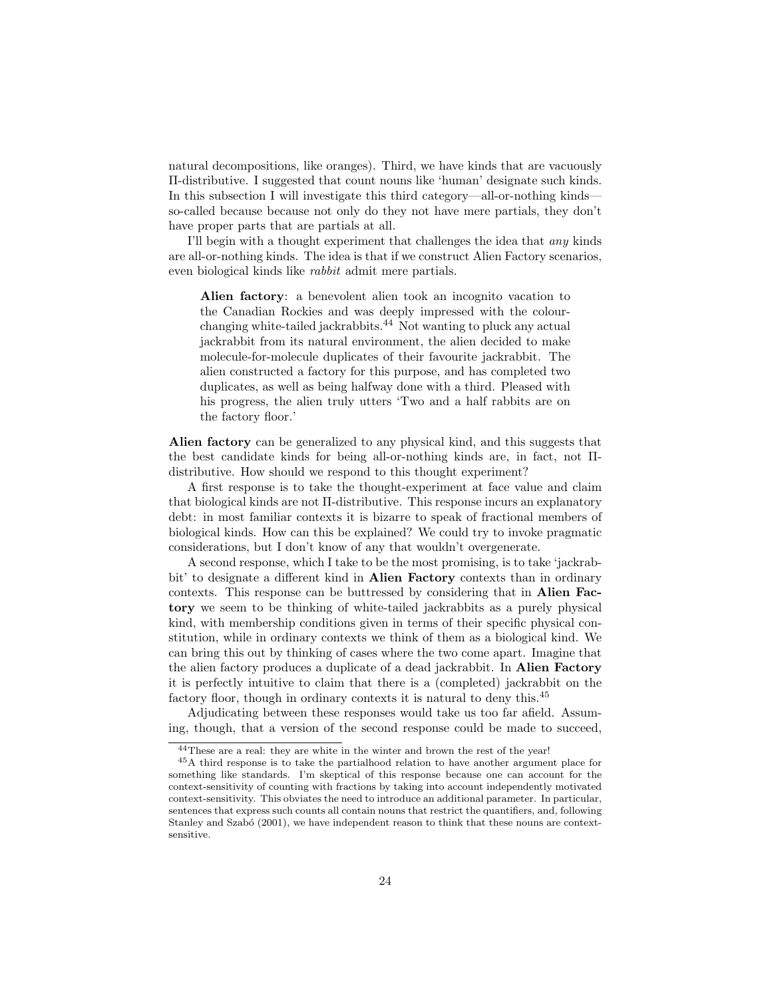natural decompositions, like oranges). Third, we have kinds that are vacuously Π-distributive. I suggested that count nouns like 'human' designate such kinds. In this subsection I will investigate this third category—all-or-nothing kinds so-called because because not only do they not have mere partials, they don't have proper parts that are partials at all.

I'll begin with a thought experiment that challenges the idea that any kinds are all-or-nothing kinds. The idea is that if we construct Alien Factory scenarios, even biological kinds like rabbit admit mere partials.

Alien factory: a benevolent alien took an incognito vacation to the Canadian Rockies and was deeply impressed with the colourchanging white-tailed jackrabbits.<sup>44</sup> Not wanting to pluck any actual jackrabbit from its natural environment, the alien decided to make molecule-for-molecule duplicates of their favourite jackrabbit. The alien constructed a factory for this purpose, and has completed two duplicates, as well as being halfway done with a third. Pleased with his progress, the alien truly utters 'Two and a half rabbits are on the factory floor.'

Alien factory can be generalized to any physical kind, and this suggests that the best candidate kinds for being all-or-nothing kinds are, in fact, not Πdistributive. How should we respond to this thought experiment?

A first response is to take the thought-experiment at face value and claim that biological kinds are not Π-distributive. This response incurs an explanatory debt: in most familiar contexts it is bizarre to speak of fractional members of biological kinds. How can this be explained? We could try to invoke pragmatic considerations, but I don't know of any that wouldn't overgenerate.

A second response, which I take to be the most promising, is to take 'jackrabbit' to designate a different kind in Alien Factory contexts than in ordinary contexts. This response can be buttressed by considering that in Alien Factory we seem to be thinking of white-tailed jackrabbits as a purely physical kind, with membership conditions given in terms of their specific physical constitution, while in ordinary contexts we think of them as a biological kind. We can bring this out by thinking of cases where the two come apart. Imagine that the alien factory produces a duplicate of a dead jackrabbit. In Alien Factory it is perfectly intuitive to claim that there is a (completed) jackrabbit on the factory floor, though in ordinary contexts it is natural to deny this.<sup>45</sup>

Adjudicating between these responses would take us too far afield. Assuming, though, that a version of the second response could be made to succeed,

<sup>&</sup>lt;sup>44</sup>These are a real: they are white in the winter and brown the rest of the year!

<sup>45</sup>A third response is to take the partialhood relation to have another argument place for something like standards. I'm skeptical of this response because one can account for the context-sensitivity of counting with fractions by taking into account independently motivated context-sensitivity. This obviates the need to introduce an additional parameter. In particular, sentences that express such counts all contain nouns that restrict the quantifiers, and, following Stanley and Szabó (2001), we have independent reason to think that these nouns are contextsensitive.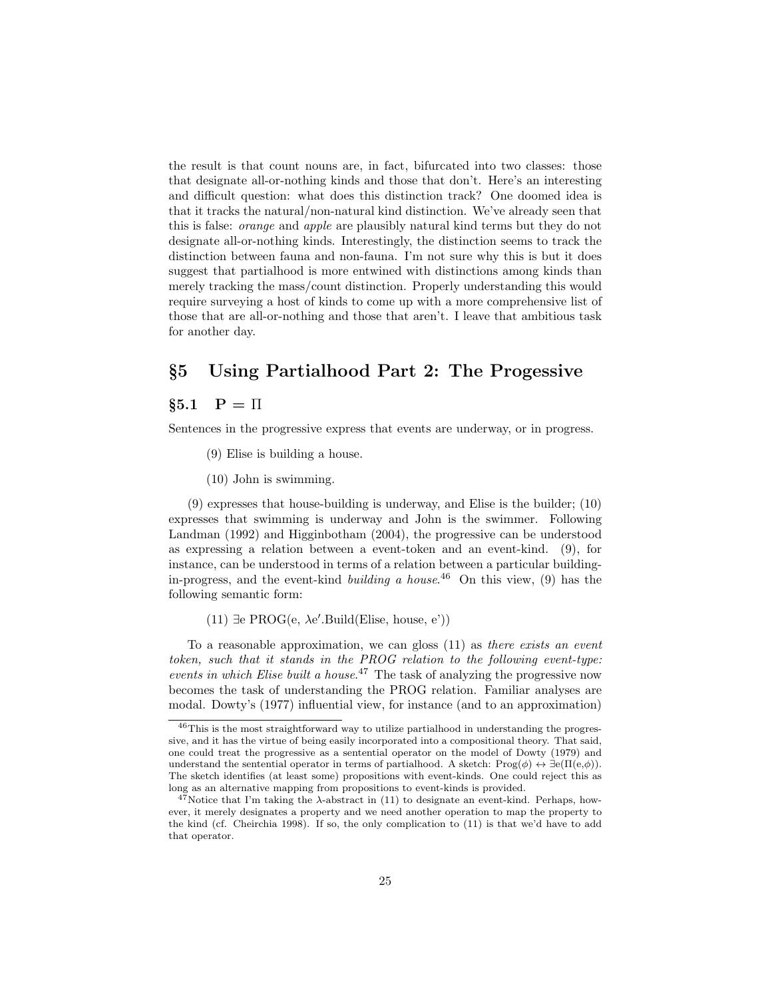the result is that count nouns are, in fact, bifurcated into two classes: those that designate all-or-nothing kinds and those that don't. Here's an interesting and difficult question: what does this distinction track? One doomed idea is that it tracks the natural/non-natural kind distinction. We've already seen that this is false: orange and apple are plausibly natural kind terms but they do not designate all-or-nothing kinds. Interestingly, the distinction seems to track the distinction between fauna and non-fauna. I'm not sure why this is but it does suggest that partialhood is more entwined with distinctions among kinds than merely tracking the mass/count distinction. Properly understanding this would require surveying a host of kinds to come up with a more comprehensive list of those that are all-or-nothing and those that aren't. I leave that ambitious task for another day.

# §5 Using Partialhood Part 2: The Progessive

## $§5.1 \quad P = \Pi$

Sentences in the progressive express that events are underway, or in progress.

- (9) Elise is building a house.
- (10) John is swimming.

(9) expresses that house-building is underway, and Elise is the builder; (10) expresses that swimming is underway and John is the swimmer. Following Landman (1992) and Higginbotham (2004), the progressive can be understood as expressing a relation between a event-token and an event-kind. (9), for instance, can be understood in terms of a relation between a particular buildingin-progress, and the event-kind *building a house*.<sup>46</sup> On this view, (9) has the following semantic form:

 $(11)$  ∃e PROG $(e, \lambda e'.$ Build(Elise, house, e'))

To a reasonable approximation, we can gloss (11) as there exists an event token, such that it stands in the PROG relation to the following event-type: events in which Elise built a house.<sup>47</sup> The task of analyzing the progressive now becomes the task of understanding the PROG relation. Familiar analyses are modal. Dowty's (1977) influential view, for instance (and to an approximation)

<sup>46</sup>This is the most straightforward way to utilize partialhood in understanding the progressive, and it has the virtue of being easily incorporated into a compositional theory. That said, one could treat the progressive as a sentential operator on the model of Dowty (1979) and understand the sentential operator in terms of partialhood. A sketch:  $\text{Prog}(\phi) \leftrightarrow \exists e(\Pi(e,\phi)).$ The sketch identifies (at least some) propositions with event-kinds. One could reject this as long as an alternative mapping from propositions to event-kinds is provided.

 $47$ Notice that I'm taking the  $\lambda$ -abstract in (11) to designate an event-kind. Perhaps, however, it merely designates a property and we need another operation to map the property to the kind (cf. Cheirchia 1998). If so, the only complication to (11) is that we'd have to add that operator.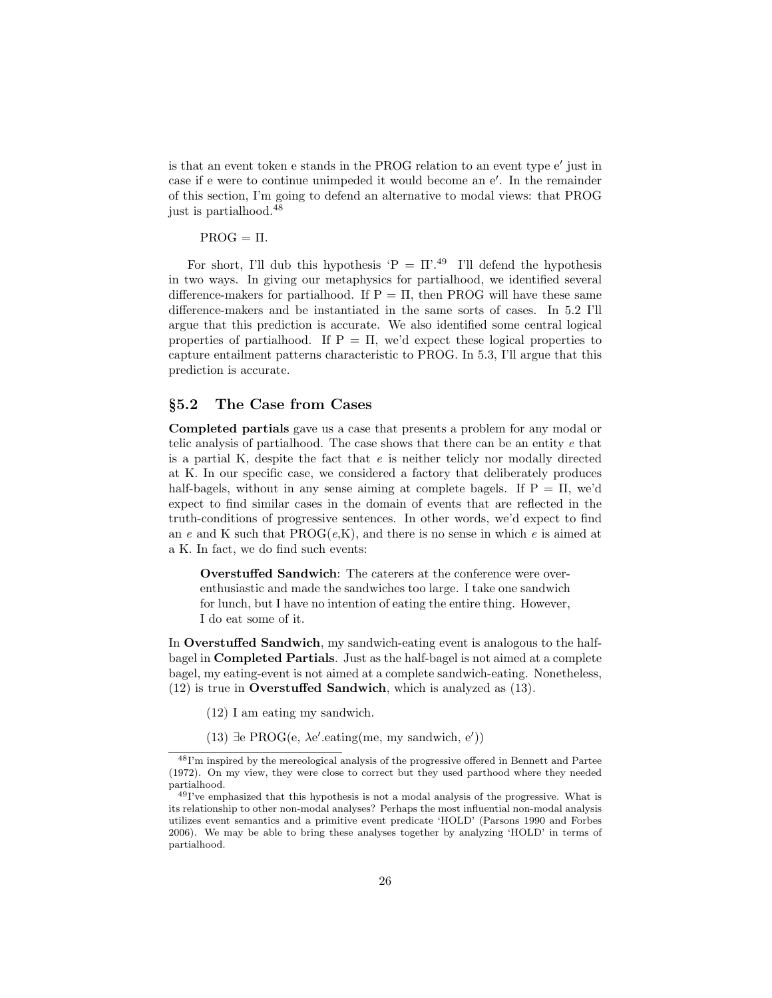is that an event token e stands in the PROG relation to an event type e' just in case if e were to continue unimpeded it would become an e'. In the remainder of this section, I'm going to defend an alternative to modal views: that PROG just is partialhood.<sup>48</sup>

#### $PROG = \Pi$ .

For short, I'll dub this hypothesis 'P =  $\Pi$ '.<sup>49</sup> I'll defend the hypothesis in two ways. In giving our metaphysics for partialhood, we identified several difference-makers for partialhood. If  $P = \Pi$ , then PROG will have these same difference-makers and be instantiated in the same sorts of cases. In 5.2 I'll argue that this prediction is accurate. We also identified some central logical properties of partialhood. If  $P = \Pi$ , we'd expect these logical properties to capture entailment patterns characteristic to PROG. In 5.3, I'll argue that this prediction is accurate.

### §5.2 The Case from Cases

Completed partials gave us a case that presents a problem for any modal or telic analysis of partialhood. The case shows that there can be an entity e that is a partial K, despite the fact that  $e$  is neither telicly nor modally directed at K. In our specific case, we considered a factory that deliberately produces half-bagels, without in any sense aiming at complete bagels. If  $P = \Pi$ , we'd expect to find similar cases in the domain of events that are reflected in the truth-conditions of progressive sentences. In other words, we'd expect to find an e and K such that  $PROG(e,K)$ , and there is no sense in which e is aimed at a K. In fact, we do find such events:

Overstuffed Sandwich: The caterers at the conference were overenthusiastic and made the sandwiches too large. I take one sandwich for lunch, but I have no intention of eating the entire thing. However, I do eat some of it.

In Overstuffed Sandwich, my sandwich-eating event is analogous to the halfbagel in Completed Partials. Just as the half-bagel is not aimed at a complete bagel, my eating-event is not aimed at a complete sandwich-eating. Nonetheless, (12) is true in Overstuffed Sandwich, which is analyzed as (13).

- (12) I am eating my sandwich.
- (13) ∃e PROG $(e, \lambda e'.$ eating(me, my sandwich, e'))

<sup>48</sup>I'm inspired by the mereological analysis of the progressive offered in Bennett and Partee (1972). On my view, they were close to correct but they used parthood where they needed partialhood.

<sup>49</sup>I've emphasized that this hypothesis is not a modal analysis of the progressive. What is its relationship to other non-modal analyses? Perhaps the most influential non-modal analysis utilizes event semantics and a primitive event predicate 'HOLD' (Parsons 1990 and Forbes 2006). We may be able to bring these analyses together by analyzing 'HOLD' in terms of partialhood.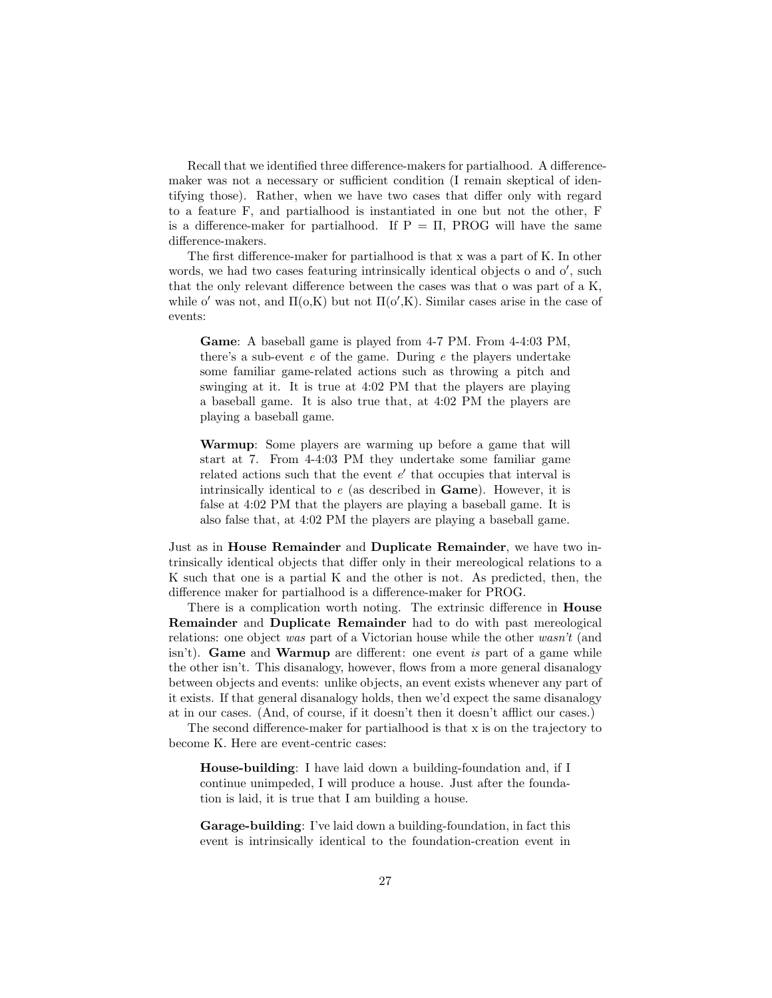Recall that we identified three difference-makers for partialhood. A differencemaker was not a necessary or sufficient condition (I remain skeptical of identifying those). Rather, when we have two cases that differ only with regard to a feature F, and partialhood is instantiated in one but not the other, F is a difference-maker for partialhood. If  $P = \Pi$ , PROG will have the same difference-makers.

The first difference-maker for partialhood is that x was a part of K. In other words, we had two cases featuring intrinsically identical objects  $o$  and  $o'$ , such that the only relevant difference between the cases was that o was part of a K, while o' was not, and  $\Pi(\mathbf{o}, K)$  but not  $\Pi(\mathbf{o}', K)$ . Similar cases arise in the case of events:

Game: A baseball game is played from 4-7 PM. From 4-4:03 PM, there's a sub-event  $e$  of the game. During  $e$  the players undertake some familiar game-related actions such as throwing a pitch and swinging at it. It is true at 4:02 PM that the players are playing a baseball game. It is also true that, at 4:02 PM the players are playing a baseball game.

Warmup: Some players are warming up before a game that will start at 7. From 4-4:03 PM they undertake some familiar game related actions such that the event  $e'$  that occupies that interval is intrinsically identical to  $e$  (as described in **Game**). However, it is false at 4:02 PM that the players are playing a baseball game. It is also false that, at 4:02 PM the players are playing a baseball game.

Just as in House Remainder and Duplicate Remainder, we have two intrinsically identical objects that differ only in their mereological relations to a K such that one is a partial K and the other is not. As predicted, then, the difference maker for partialhood is a difference-maker for PROG.

There is a complication worth noting. The extrinsic difference in House Remainder and Duplicate Remainder had to do with past mereological relations: one object was part of a Victorian house while the other wasn't (and  $\sum_{i=1}^{\infty}$  isn't). Game and Warmup are different: one event is part of a game while the other isn't. This disanalogy, however, flows from a more general disanalogy between objects and events: unlike objects, an event exists whenever any part of it exists. If that general disanalogy holds, then we'd expect the same disanalogy at in our cases. (And, of course, if it doesn't then it doesn't afflict our cases.)

The second difference-maker for partialhood is that x is on the trajectory to become K. Here are event-centric cases:

House-building: I have laid down a building-foundation and, if I continue unimpeded, I will produce a house. Just after the foundation is laid, it is true that I am building a house.

Garage-building: I've laid down a building-foundation, in fact this event is intrinsically identical to the foundation-creation event in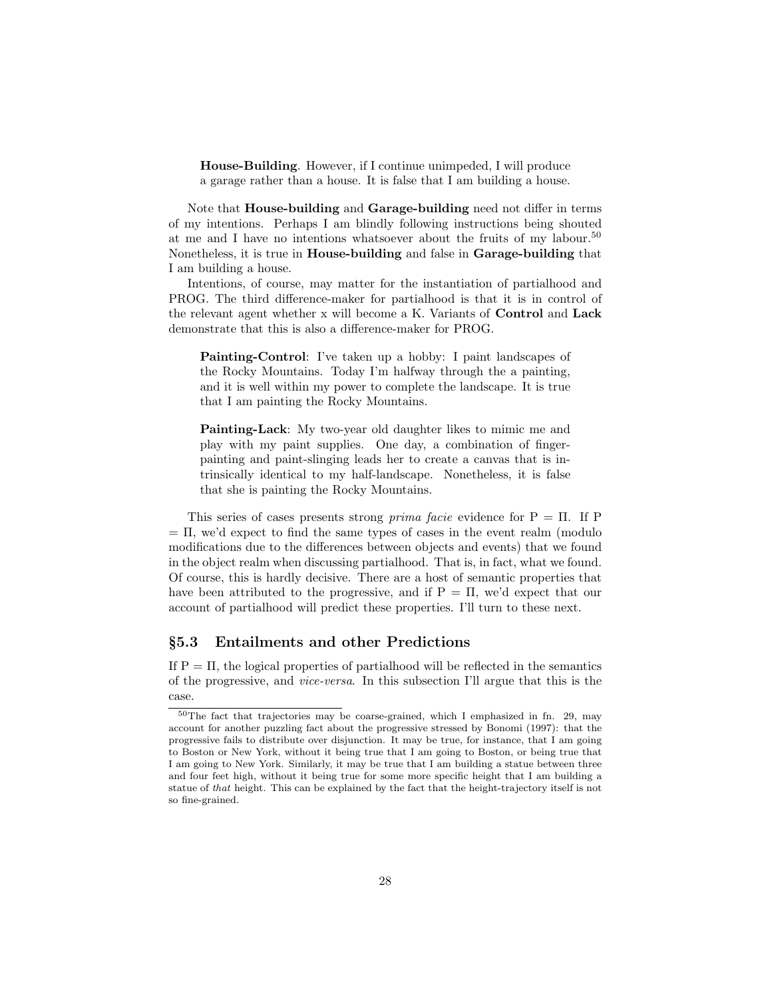House-Building. However, if I continue unimpeded, I will produce a garage rather than a house. It is false that I am building a house.

Note that House-building and Garage-building need not differ in terms of my intentions. Perhaps I am blindly following instructions being shouted at me and I have no intentions whatsoever about the fruits of my labour.<sup>50</sup> Nonetheless, it is true in House-building and false in Garage-building that I am building a house.

Intentions, of course, may matter for the instantiation of partialhood and PROG. The third difference-maker for partialhood is that it is in control of the relevant agent whether x will become a K. Variants of Control and Lack demonstrate that this is also a difference-maker for PROG.

Painting-Control: I've taken up a hobby: I paint landscapes of the Rocky Mountains. Today I'm halfway through the a painting, and it is well within my power to complete the landscape. It is true that I am painting the Rocky Mountains.

Painting-Lack: My two-year old daughter likes to mimic me and play with my paint supplies. One day, a combination of fingerpainting and paint-slinging leads her to create a canvas that is intrinsically identical to my half-landscape. Nonetheless, it is false that she is painting the Rocky Mountains.

This series of cases presents strong *prima facie* evidence for  $P = \Pi$ . If P  $= \Pi$ , we'd expect to find the same types of cases in the event realm (modulo) modifications due to the differences between objects and events) that we found in the object realm when discussing partialhood. That is, in fact, what we found. Of course, this is hardly decisive. There are a host of semantic properties that have been attributed to the progressive, and if  $P = \Pi$ , we'd expect that our account of partialhood will predict these properties. I'll turn to these next.

#### §5.3 Entailments and other Predictions

If  $P = \Pi$ , the logical properties of partial hood will be reflected in the semantics of the progressive, and vice-versa. In this subsection I'll argue that this is the case.

<sup>50</sup>The fact that trajectories may be coarse-grained, which I emphasized in fn. 29, may account for another puzzling fact about the progressive stressed by Bonomi (1997): that the progressive fails to distribute over disjunction. It may be true, for instance, that I am going to Boston or New York, without it being true that I am going to Boston, or being true that I am going to New York. Similarly, it may be true that I am building a statue between three and four feet high, without it being true for some more specific height that I am building a statue of that height. This can be explained by the fact that the height-trajectory itself is not so fine-grained.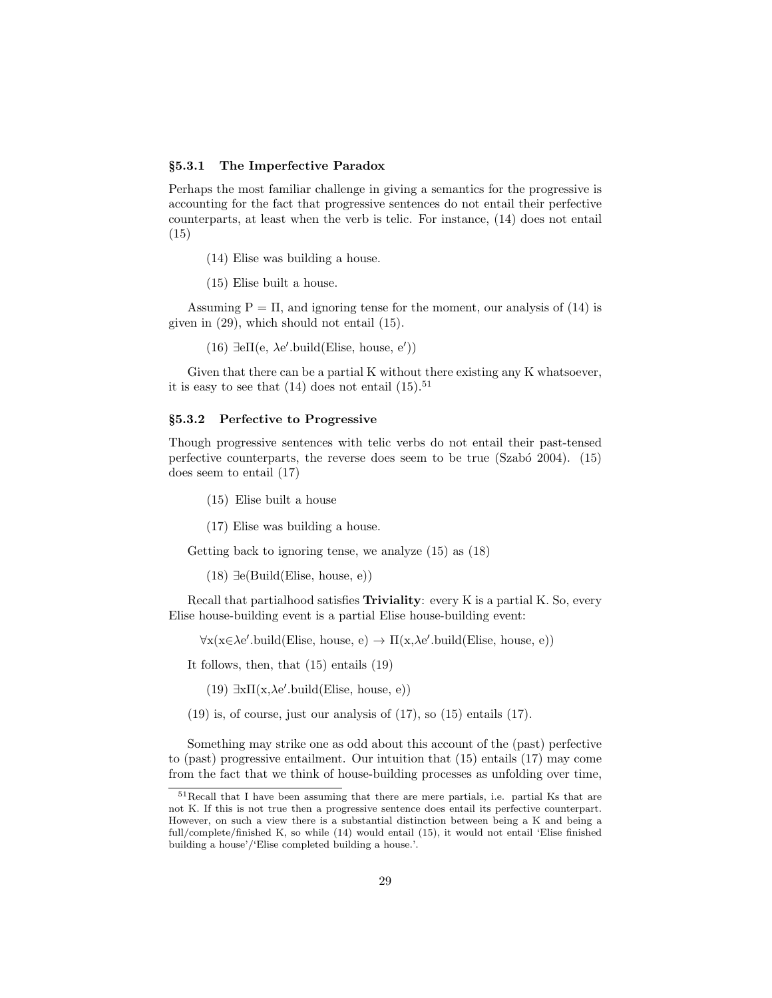#### §5.3.1 The Imperfective Paradox

Perhaps the most familiar challenge in giving a semantics for the progressive is accounting for the fact that progressive sentences do not entail their perfective counterparts, at least when the verb is telic. For instance, (14) does not entail (15)

(14) Elise was building a house.

(15) Elise built a house.

Assuming  $P = \Pi$ , and ignoring tense for the moment, our analysis of (14) is given in (29), which should not entail (15).

(16)  $\exists e \Pi(e, \lambda e'.build(Elise, house, e'))$ 

Given that there can be a partial K without there existing any K whatsoever, it is easy to see that  $(14)$  does not entail  $(15).<sup>51</sup>$ 

#### §5.3.2 Perfective to Progressive

Though progressive sentences with telic verbs do not entail their past-tensed perfective counterparts, the reverse does seem to be true  $(Szab<sub>o</sub> 2004)$ .  $(15)$ does seem to entail (17)

(15) Elise built a house

(17) Elise was building a house.

Getting back to ignoring tense, we analyze (15) as (18)

 $(18) \exists e(Build(Elise, house, e))$ 

Recall that partialhood satisfies Triviality: every K is a partial K. So, every Elise house-building event is a partial Elise house-building event:

 $\forall x(x \in \lambda e'.\text{build}(Elise, house, e) \rightarrow \Pi(x, \lambda e'.\text{build}(Elise, house, e))$ 

It follows, then, that (15) entails (19)

(19)  $\exists x \Pi(x, \lambda e'.\text{build}(Elise, house, e))$ 

 $(19)$  is, of course, just our analysis of  $(17)$ , so  $(15)$  entails  $(17)$ .

Something may strike one as odd about this account of the (past) perfective to (past) progressive entailment. Our intuition that (15) entails (17) may come from the fact that we think of house-building processes as unfolding over time,

<sup>51</sup>Recall that I have been assuming that there are mere partials, i.e. partial Ks that are not K. If this is not true then a progressive sentence does entail its perfective counterpart. However, on such a view there is a substantial distinction between being a K and being a full/complete/finished K, so while (14) would entail (15), it would not entail 'Elise finished building a house'/'Elise completed building a house.'.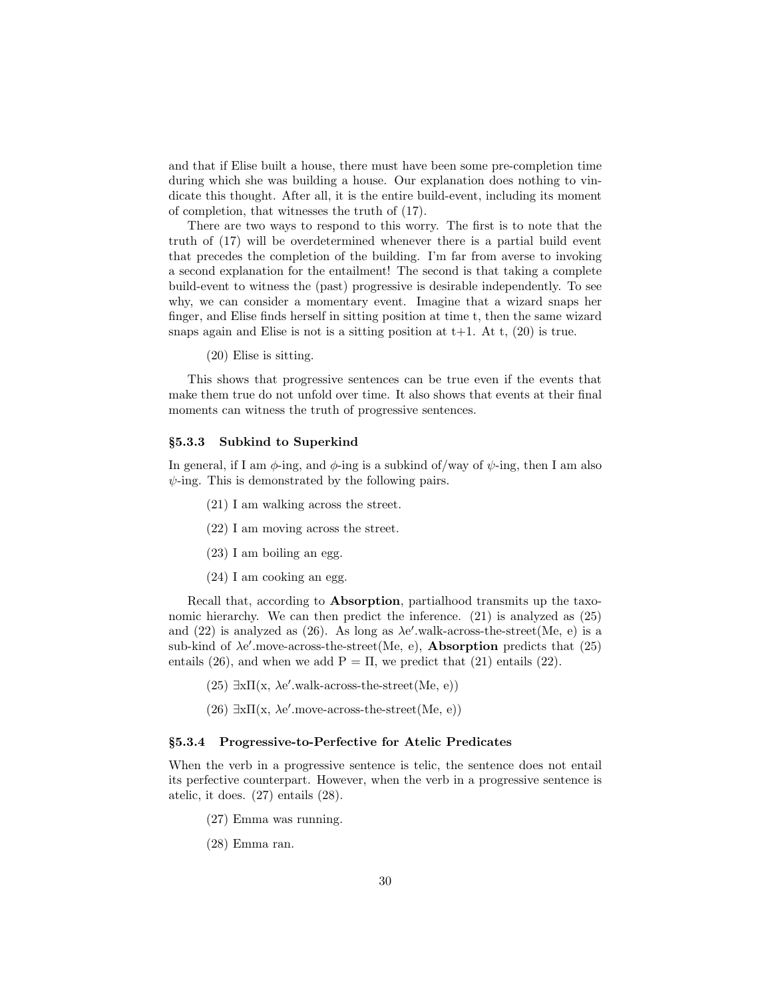and that if Elise built a house, there must have been some pre-completion time during which she was building a house. Our explanation does nothing to vindicate this thought. After all, it is the entire build-event, including its moment of completion, that witnesses the truth of (17).

There are two ways to respond to this worry. The first is to note that the truth of (17) will be overdetermined whenever there is a partial build event that precedes the completion of the building. I'm far from averse to invoking a second explanation for the entailment! The second is that taking a complete build-event to witness the (past) progressive is desirable independently. To see why, we can consider a momentary event. Imagine that a wizard snaps her finger, and Elise finds herself in sitting position at time t, then the same wizard snaps again and Elise is not is a sitting position at  $t+1$ . At  $t$ , (20) is true.

(20) Elise is sitting.

This shows that progressive sentences can be true even if the events that make them true do not unfold over time. It also shows that events at their final moments can witness the truth of progressive sentences.

#### §5.3.3 Subkind to Superkind

In general, if I am  $\phi$ -ing, and  $\phi$ -ing is a subkind of/way of  $\psi$ -ing, then I am also  $\psi$ -ing. This is demonstrated by the following pairs.

- (21) I am walking across the street.
- (22) I am moving across the street.
- (23) I am boiling an egg.
- (24) I am cooking an egg.

Recall that, according to Absorption, partialhood transmits up the taxonomic hierarchy. We can then predict the inference. (21) is analyzed as  $(25)$ and  $(22)$  is analyzed as  $(26)$ . As long as  $\lambda e'$  walk-across-the-street(Me, e) is a sub-kind of  $\lambda e'$  move-across-the-street(Me, e), **Absorption** predicts that (25) entails (26), and when we add  $P = \Pi$ , we predict that (21) entails (22).

- (25)  $\exists x \Pi(x, \lambda e'.walk-across-the-street(Me, e))$
- (26)  $\exists x \Pi(x, \lambda e'.move\_across-the-street(Me, e))$

#### §5.3.4 Progressive-to-Perfective for Atelic Predicates

When the verb in a progressive sentence is telic, the sentence does not entail its perfective counterpart. However, when the verb in a progressive sentence is atelic, it does. (27) entails (28).

- (27) Emma was running.
- (28) Emma ran.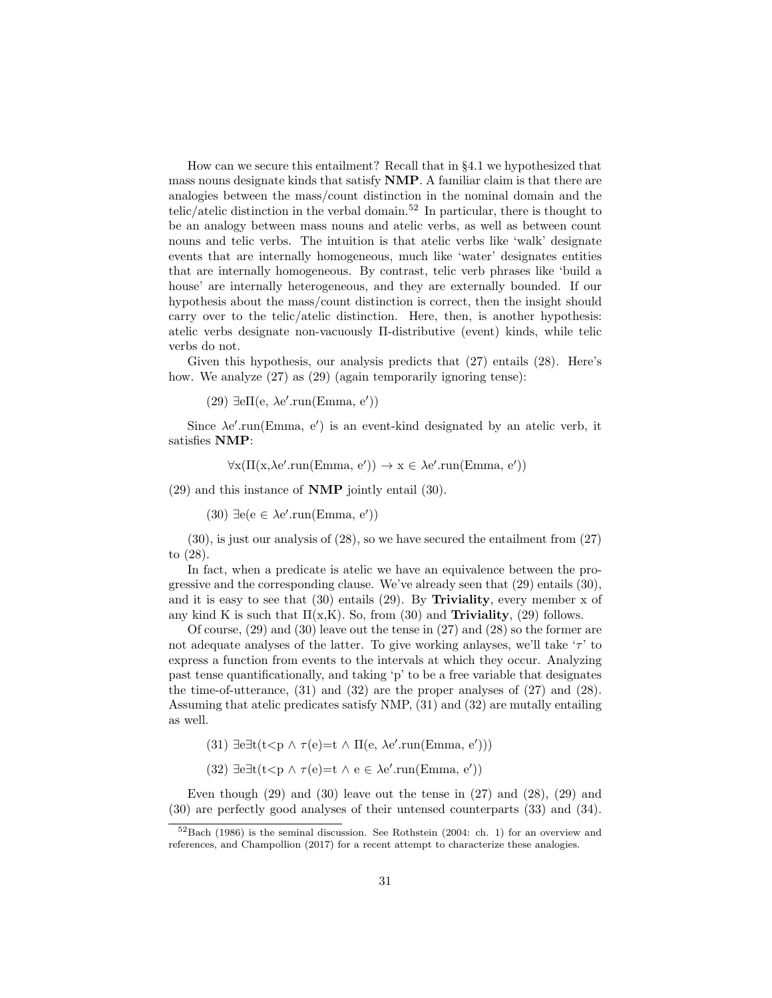How can we secure this entailment? Recall that in §4.1 we hypothesized that mass nouns designate kinds that satisfy NMP. A familiar claim is that there are analogies between the mass/count distinction in the nominal domain and the telic/atelic distinction in the verbal domain.<sup>52</sup> In particular, there is thought to be an analogy between mass nouns and atelic verbs, as well as between count nouns and telic verbs. The intuition is that atelic verbs like 'walk' designate events that are internally homogeneous, much like 'water' designates entities that are internally homogeneous. By contrast, telic verb phrases like 'build a house' are internally heterogeneous, and they are externally bounded. If our hypothesis about the mass/count distinction is correct, then the insight should carry over to the telic/atelic distinction. Here, then, is another hypothesis: atelic verbs designate non-vacuously Π-distributive (event) kinds, while telic verbs do not.

Given this hypothesis, our analysis predicts that  $(27)$  entails  $(28)$ . Here's how. We analyze  $(27)$  as  $(29)$  (again temporarily ignoring tense):

(29)  $\exists$ eΠ(e, λe'.run(Emma, e'))

Since  $\lambda e'$ .run(Emma, e') is an event-kind designated by an atelic verb, it satisfies NMP:

 $\forall x (\Pi(x, \lambda e'.\text{run}(\text{Emma}, e')) \rightarrow x \in \lambda e'.\text{run}(\text{Emma}, e'))$ 

(29) and this instance of NMP jointly entail (30).

 $(30) \exists e (e \in \lambda e'.\text{run}(\text{Emma}, e'))$ 

(30), is just our analysis of (28), so we have secured the entailment from (27) to (28).

In fact, when a predicate is atelic we have an equivalence between the progressive and the corresponding clause. We've already seen that (29) entails (30), and it is easy to see that  $(30)$  entails  $(29)$ . By **Triviality**, every member x of any kind K is such that  $\Pi(x,K)$ . So, from (30) and **Triviality**, (29) follows.

Of course, (29) and (30) leave out the tense in (27) and (28) so the former are not adequate analyses of the latter. To give working anlayses, we'll take  $\tau$ ' to express a function from events to the intervals at which they occur. Analyzing past tense quantificationally, and taking 'p' to be a free variable that designates the time-of-utterance, (31) and (32) are the proper analyses of (27) and (28). Assuming that atelic predicates satisfy NMP, (31) and (32) are mutally entailing as well.

(31) 
$$
\exists e \exists t (t < p \land \tau(e) = t \land \Pi(e, \lambda e'.run(\text{Emma}, e')))
$$

(32)  $\exists e \exists t (t \leq p \land \tau(e) = t \land e \in \lambda e'.\text{run}(Emma, e'))$ 

Even though  $(29)$  and  $(30)$  leave out the tense in  $(27)$  and  $(28)$ ,  $(29)$  and (30) are perfectly good analyses of their untensed counterparts (33) and (34).

 $52$ Bach (1986) is the seminal discussion. See Rothstein (2004: ch. 1) for an overview and references, and Champollion (2017) for a recent attempt to characterize these analogies.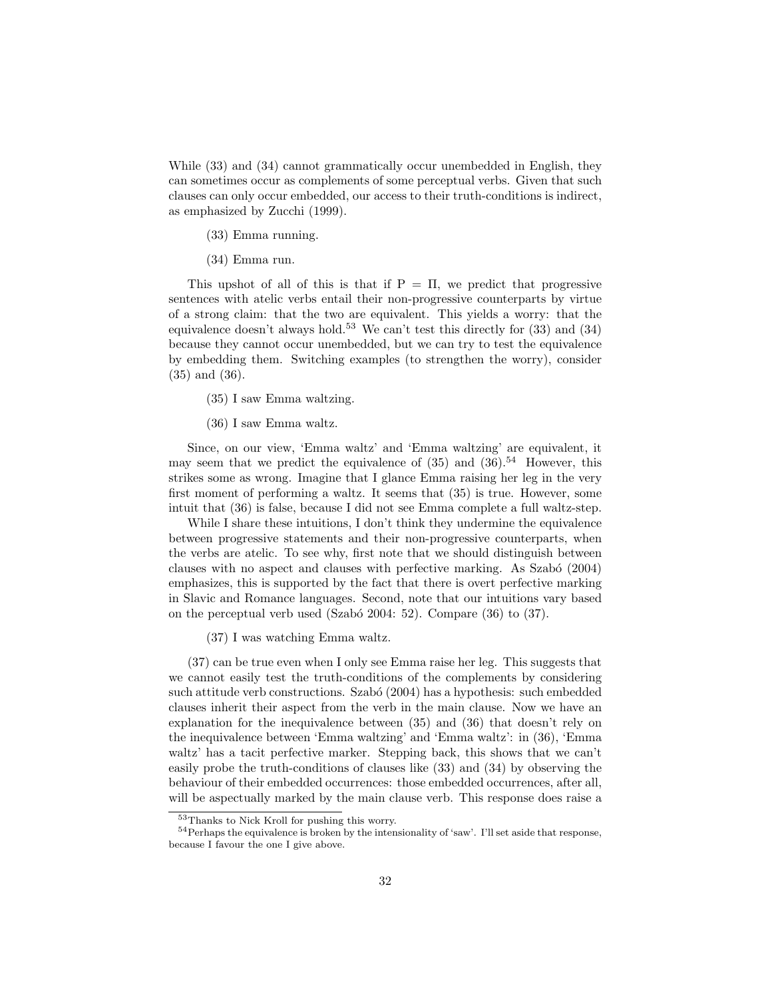While (33) and (34) cannot grammatically occur unembedded in English, they can sometimes occur as complements of some perceptual verbs. Given that such clauses can only occur embedded, our access to their truth-conditions is indirect, as emphasized by Zucchi (1999).

- (33) Emma running.
- (34) Emma run.

This upshot of all of this is that if  $P = \Pi$ , we predict that progressive sentences with atelic verbs entail their non-progressive counterparts by virtue of a strong claim: that the two are equivalent. This yields a worry: that the equivalence doesn't always hold.<sup>53</sup> We can't test this directly for  $(33)$  and  $(34)$ because they cannot occur unembedded, but we can try to test the equivalence by embedding them. Switching examples (to strengthen the worry), consider (35) and (36).

- (35) I saw Emma waltzing.
- (36) I saw Emma waltz.

Since, on our view, 'Emma waltz' and 'Emma waltzing' are equivalent, it may seem that we predict the equivalence of  $(35)$  and  $(36)$ .<sup>54</sup> However, this strikes some as wrong. Imagine that I glance Emma raising her leg in the very first moment of performing a waltz. It seems that (35) is true. However, some intuit that (36) is false, because I did not see Emma complete a full waltz-step.

While I share these intuitions, I don't think they undermine the equivalence between progressive statements and their non-progressive counterparts, when the verbs are atelic. To see why, first note that we should distinguish between clauses with no aspect and clauses with perfective marking. As Szab´o (2004) emphasizes, this is supported by the fact that there is overt perfective marking in Slavic and Romance languages. Second, note that our intuitions vary based on the perceptual verb used (Szabó 2004: 52). Compare  $(36)$  to  $(37)$ .

(37) I was watching Emma waltz.

(37) can be true even when I only see Emma raise her leg. This suggests that we cannot easily test the truth-conditions of the complements by considering such attitude verb constructions. Szabó (2004) has a hypothesis: such embedded clauses inherit their aspect from the verb in the main clause. Now we have an explanation for the inequivalence between (35) and (36) that doesn't rely on the inequivalence between 'Emma waltzing' and 'Emma waltz': in (36), 'Emma waltz' has a tacit perfective marker. Stepping back, this shows that we can't easily probe the truth-conditions of clauses like (33) and (34) by observing the behaviour of their embedded occurrences: those embedded occurrences, after all, will be aspectually marked by the main clause verb. This response does raise a

<sup>53</sup>Thanks to Nick Kroll for pushing this worry.

<sup>&</sup>lt;sup>54</sup> Perhaps the equivalence is broken by the intensionality of 'saw'. I'll set aside that response, because I favour the one I give above.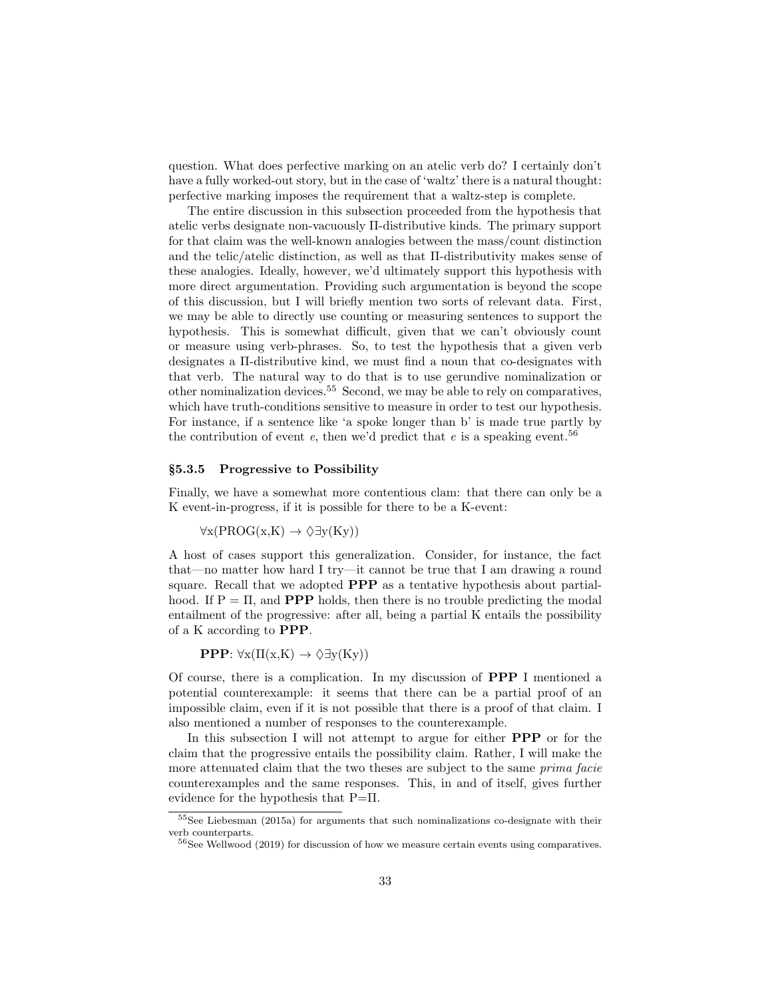question. What does perfective marking on an atelic verb do? I certainly don't have a fully worked-out story, but in the case of 'waltz' there is a natural thought: perfective marking imposes the requirement that a waltz-step is complete.

The entire discussion in this subsection proceeded from the hypothesis that atelic verbs designate non-vacuously Π-distributive kinds. The primary support for that claim was the well-known analogies between the mass/count distinction and the telic/atelic distinction, as well as that Π-distributivity makes sense of these analogies. Ideally, however, we'd ultimately support this hypothesis with more direct argumentation. Providing such argumentation is beyond the scope of this discussion, but I will briefly mention two sorts of relevant data. First, we may be able to directly use counting or measuring sentences to support the hypothesis. This is somewhat difficult, given that we can't obviously count or measure using verb-phrases. So, to test the hypothesis that a given verb designates a Π-distributive kind, we must find a noun that co-designates with that verb. The natural way to do that is to use gerundive nominalization or other nominalization devices.<sup>55</sup> Second, we may be able to rely on comparatives, which have truth-conditions sensitive to measure in order to test our hypothesis. For instance, if a sentence like 'a spoke longer than b' is made true partly by the contribution of event  $e$ , then we'd predict that  $e$  is a speaking event.<sup>56</sup>

#### §5.3.5 Progressive to Possibility

Finally, we have a somewhat more contentious clam: that there can only be a K event-in-progress, if it is possible for there to be a K-event:

 $\forall x (PROG(x,K) \rightarrow \Diamond \exists y (Ky))$ 

A host of cases support this generalization. Consider, for instance, the fact that—no matter how hard I try—it cannot be true that I am drawing a round square. Recall that we adopted PPP as a tentative hypothesis about partialhood. If  $P = \Pi$ , and **PPP** holds, then there is no trouble predicting the modal entailment of the progressive: after all, being a partial K entails the possibility of a K according to PPP.

**PPP**:  $\forall x (\Pi(x,K) \rightarrow \Diamond \exists y (Ky))$ 

Of course, there is a complication. In my discussion of PPP I mentioned a potential counterexample: it seems that there can be a partial proof of an impossible claim, even if it is not possible that there is a proof of that claim. I also mentioned a number of responses to the counterexample.

In this subsection I will not attempt to argue for either **PPP** or for the claim that the progressive entails the possibility claim. Rather, I will make the more attenuated claim that the two theses are subject to the same prima facie counterexamples and the same responses. This, in and of itself, gives further evidence for the hypothesis that P=Π.

<sup>55</sup>See Liebesman (2015a) for arguments that such nominalizations co-designate with their verb counterparts.

 $56$ See Wellwood (2019) for discussion of how we measure certain events using comparatives.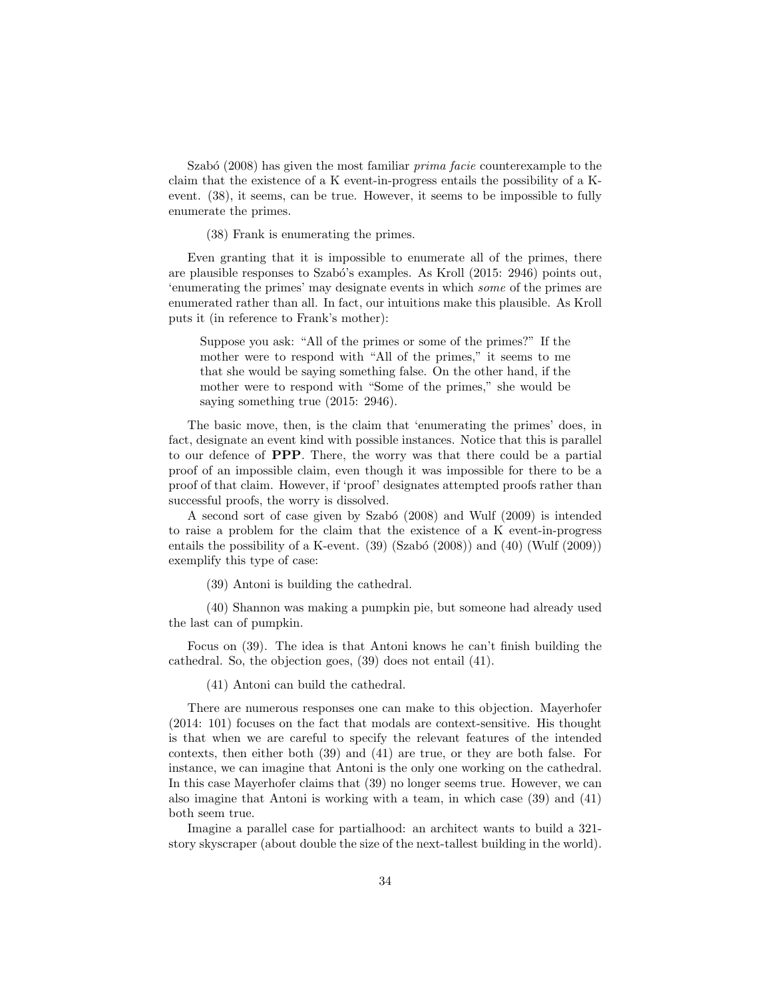Szabó  $(2008)$  has given the most familiar *prima facie* counterexample to the claim that the existence of a K event-in-progress entails the possibility of a Kevent. (38), it seems, can be true. However, it seems to be impossible to fully enumerate the primes.

(38) Frank is enumerating the primes.

Even granting that it is impossible to enumerate all of the primes, there are plausible responses to Szabó's examples. As Kroll (2015: 2946) points out, 'enumerating the primes' may designate events in which some of the primes are enumerated rather than all. In fact, our intuitions make this plausible. As Kroll puts it (in reference to Frank's mother):

Suppose you ask: "All of the primes or some of the primes?" If the mother were to respond with "All of the primes," it seems to me that she would be saying something false. On the other hand, if the mother were to respond with "Some of the primes," she would be saying something true (2015: 2946).

The basic move, then, is the claim that 'enumerating the primes' does, in fact, designate an event kind with possible instances. Notice that this is parallel to our defence of PPP. There, the worry was that there could be a partial proof of an impossible claim, even though it was impossible for there to be a proof of that claim. However, if 'proof' designates attempted proofs rather than successful proofs, the worry is dissolved.

A second sort of case given by Szabó (2008) and Wulf (2009) is intended to raise a problem for the claim that the existence of a K event-in-progress entails the possibility of a K-event.  $(39)$   $(Szabó (2008))$  and  $(40)$   $(Wulf (2009))$ exemplify this type of case:

(39) Antoni is building the cathedral.

(40) Shannon was making a pumpkin pie, but someone had already used the last can of pumpkin.

Focus on (39). The idea is that Antoni knows he can't finish building the cathedral. So, the objection goes, (39) does not entail (41).

(41) Antoni can build the cathedral.

There are numerous responses one can make to this objection. Mayerhofer (2014: 101) focuses on the fact that modals are context-sensitive. His thought is that when we are careful to specify the relevant features of the intended contexts, then either both (39) and (41) are true, or they are both false. For instance, we can imagine that Antoni is the only one working on the cathedral. In this case Mayerhofer claims that (39) no longer seems true. However, we can also imagine that Antoni is working with a team, in which case (39) and (41) both seem true.

Imagine a parallel case for partialhood: an architect wants to build a 321 story skyscraper (about double the size of the next-tallest building in the world).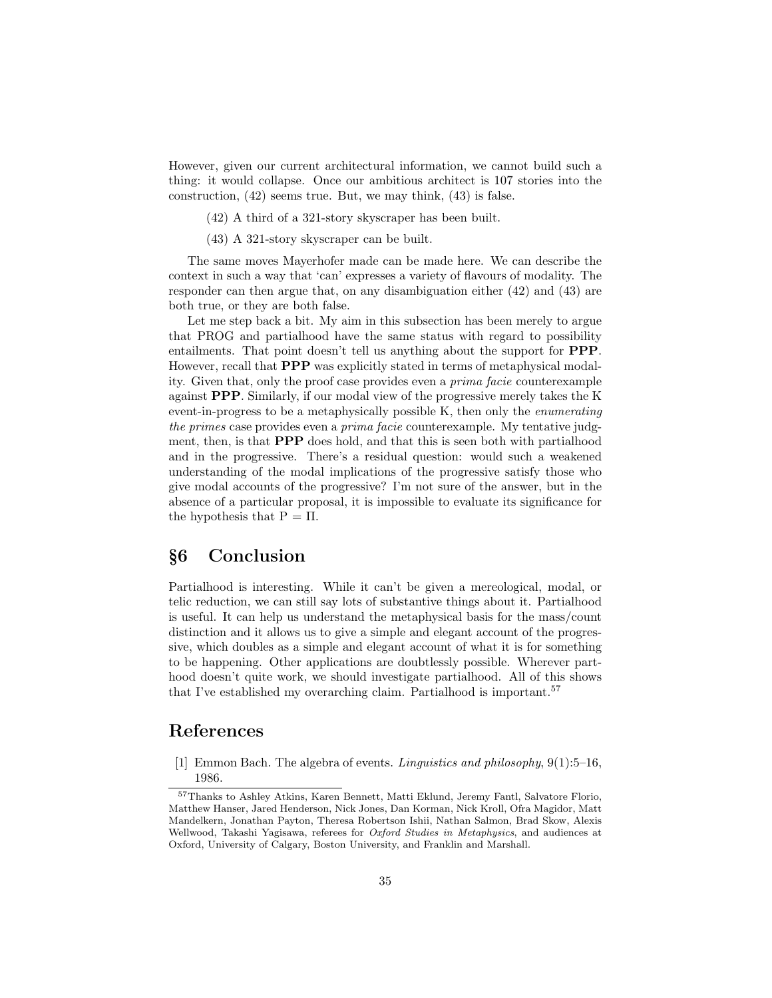However, given our current architectural information, we cannot build such a thing: it would collapse. Once our ambitious architect is 107 stories into the construction, (42) seems true. But, we may think, (43) is false.

(42) A third of a 321-story skyscraper has been built.

(43) A 321-story skyscraper can be built.

The same moves Mayerhofer made can be made here. We can describe the context in such a way that 'can' expresses a variety of flavours of modality. The responder can then argue that, on any disambiguation either (42) and (43) are both true, or they are both false.

Let me step back a bit. My aim in this subsection has been merely to argue that PROG and partialhood have the same status with regard to possibility entailments. That point doesn't tell us anything about the support for PPP. However, recall that PPP was explicitly stated in terms of metaphysical modality. Given that, only the proof case provides even a prima facie counterexample against PPP. Similarly, if our modal view of the progressive merely takes the K event-in-progress to be a metaphysically possible K, then only the enumerating the primes case provides even a *prima facie* counterexample. My tentative judgment, then, is that PPP does hold, and that this is seen both with partialhood and in the progressive. There's a residual question: would such a weakened understanding of the modal implications of the progressive satisfy those who give modal accounts of the progressive? I'm not sure of the answer, but in the absence of a particular proposal, it is impossible to evaluate its significance for the hypothesis that  $P = \Pi$ .

# §6 Conclusion

Partialhood is interesting. While it can't be given a mereological, modal, or telic reduction, we can still say lots of substantive things about it. Partialhood is useful. It can help us understand the metaphysical basis for the mass/count distinction and it allows us to give a simple and elegant account of the progressive, which doubles as a simple and elegant account of what it is for something to be happening. Other applications are doubtlessly possible. Wherever parthood doesn't quite work, we should investigate partialhood. All of this shows that I've established my overarching claim. Partialhood is important.<sup>57</sup>

## References

[1] Emmon Bach. The algebra of events. Linguistics and philosophy, 9(1):5–16, 1986.

<sup>57</sup>Thanks to Ashley Atkins, Karen Bennett, Matti Eklund, Jeremy Fantl, Salvatore Florio, Matthew Hanser, Jared Henderson, Nick Jones, Dan Korman, Nick Kroll, Ofra Magidor, Matt Mandelkern, Jonathan Payton, Theresa Robertson Ishii, Nathan Salmon, Brad Skow, Alexis Wellwood, Takashi Yagisawa, referees for *Oxford Studies in Metaphysics*, and audiences at Oxford, University of Calgary, Boston University, and Franklin and Marshall.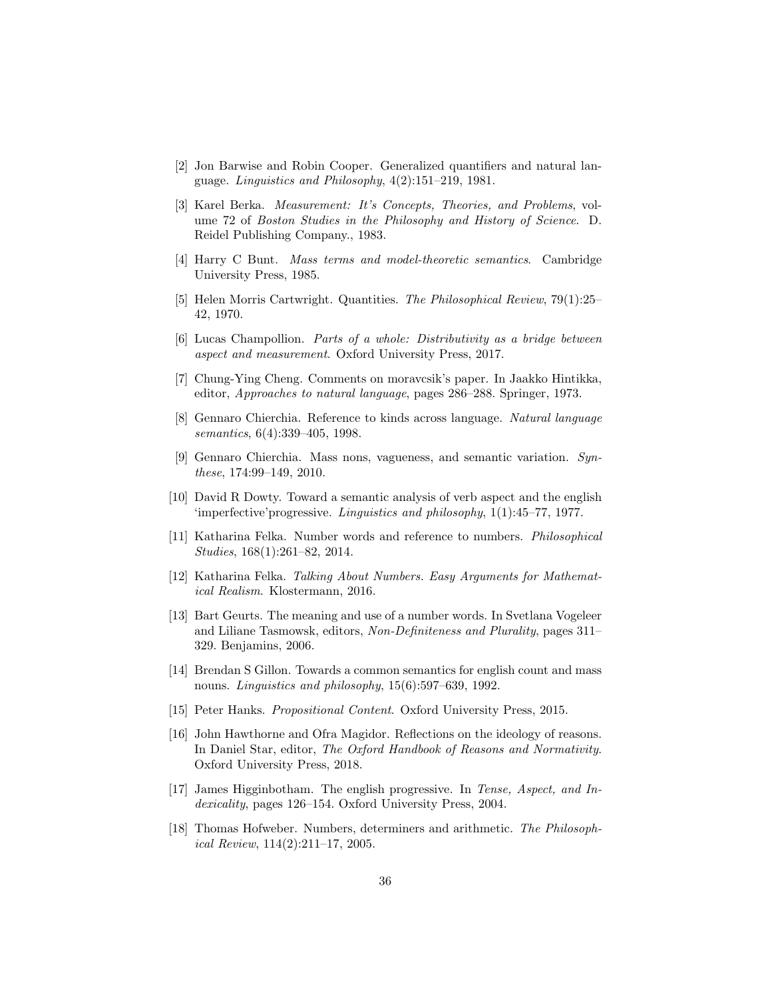- [2] Jon Barwise and Robin Cooper. Generalized quantifiers and natural language. Linguistics and Philosophy, 4(2):151–219, 1981.
- [3] Karel Berka. Measurement: It's Concepts, Theories, and Problems, volume 72 of Boston Studies in the Philosophy and History of Science. D. Reidel Publishing Company., 1983.
- [4] Harry C Bunt. Mass terms and model-theoretic semantics. Cambridge University Press, 1985.
- [5] Helen Morris Cartwright. Quantities. The Philosophical Review, 79(1):25– 42, 1970.
- [6] Lucas Champollion. Parts of a whole: Distributivity as a bridge between aspect and measurement. Oxford University Press, 2017.
- [7] Chung-Ying Cheng. Comments on moravcsik's paper. In Jaakko Hintikka, editor, Approaches to natural language, pages 286–288. Springer, 1973.
- [8] Gennaro Chierchia. Reference to kinds across language. Natural language semantics, 6(4):339–405, 1998.
- [9] Gennaro Chierchia. Mass nons, vagueness, and semantic variation. Synthese, 174:99–149, 2010.
- [10] David R Dowty. Toward a semantic analysis of verb aspect and the english 'imperfective'progressive. Linguistics and philosophy, 1(1):45–77, 1977.
- [11] Katharina Felka. Number words and reference to numbers. Philosophical Studies, 168(1):261–82, 2014.
- [12] Katharina Felka. Talking About Numbers. Easy Arguments for Mathematical Realism. Klostermann, 2016.
- [13] Bart Geurts. The meaning and use of a number words. In Svetlana Vogeleer and Liliane Tasmowsk, editors, Non-Definiteness and Plurality, pages 311– 329. Benjamins, 2006.
- [14] Brendan S Gillon. Towards a common semantics for english count and mass nouns. Linguistics and philosophy, 15(6):597–639, 1992.
- [15] Peter Hanks. Propositional Content. Oxford University Press, 2015.
- [16] John Hawthorne and Ofra Magidor. Reflections on the ideology of reasons. In Daniel Star, editor, The Oxford Handbook of Reasons and Normativity. Oxford University Press, 2018.
- [17] James Higginbotham. The english progressive. In Tense, Aspect, and Indexicality, pages 126–154. Oxford University Press, 2004.
- [18] Thomas Hofweber. Numbers, determiners and arithmetic. The Philosophical Review, 114(2):211–17, 2005.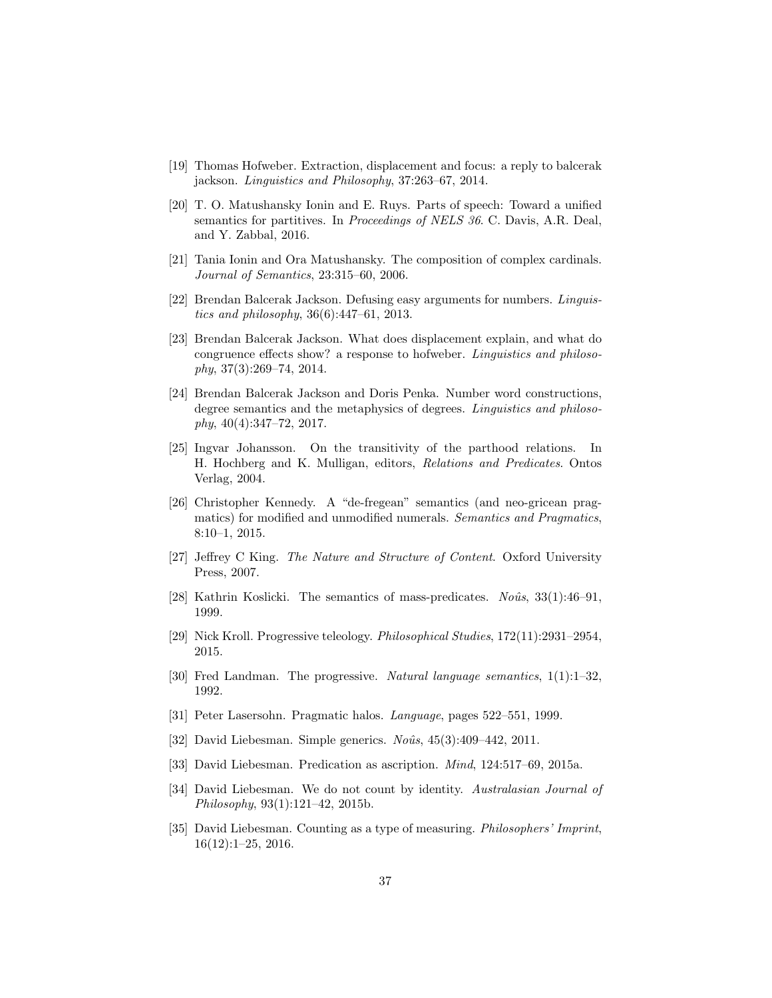- [19] Thomas Hofweber. Extraction, displacement and focus: a reply to balcerak jackson. Linguistics and Philosophy, 37:263–67, 2014.
- [20] T. O. Matushansky Ionin and E. Ruys. Parts of speech: Toward a unified semantics for partitives. In Proceedings of NELS 36. C. Davis, A.R. Deal, and Y. Zabbal, 2016.
- [21] Tania Ionin and Ora Matushansky. The composition of complex cardinals. Journal of Semantics, 23:315–60, 2006.
- [22] Brendan Balcerak Jackson. Defusing easy arguments for numbers. Linguistics and philosophy, 36(6):447–61, 2013.
- [23] Brendan Balcerak Jackson. What does displacement explain, and what do congruence effects show? a response to hofweber. Linguistics and philoso $phy, 37(3):269-74, 2014.$
- [24] Brendan Balcerak Jackson and Doris Penka. Number word constructions, degree semantics and the metaphysics of degrees. Linguistics and philoso $phy, 40(4):347–72, 2017.$
- [25] Ingvar Johansson. On the transitivity of the parthood relations. In H. Hochberg and K. Mulligan, editors, Relations and Predicates. Ontos Verlag, 2004.
- [26] Christopher Kennedy. A "de-fregean" semantics (and neo-gricean pragmatics) for modified and unmodified numerals. Semantics and Pragmatics, 8:10–1, 2015.
- [27] Jeffrey C King. The Nature and Structure of Content. Oxford University Press, 2007.
- [28] Kathrin Koslicki. The semantics of mass-predicates.  $No\hat{u}s$ , 33(1):46–91, 1999.
- [29] Nick Kroll. Progressive teleology. Philosophical Studies, 172(11):2931–2954, 2015.
- [30] Fred Landman. The progressive. Natural language semantics, 1(1):1–32, 1992.
- [31] Peter Lasersohn. Pragmatic halos. Language, pages 522–551, 1999.
- [32] David Liebesman. Simple generics.  $No\hat{u}s$ ,  $45(3):409-442$ , 2011.
- [33] David Liebesman. Predication as ascription. Mind, 124:517–69, 2015a.
- [34] David Liebesman. We do not count by identity. Australasian Journal of Philosophy, 93(1):121–42, 2015b.
- [35] David Liebesman. Counting as a type of measuring. Philosophers' Imprint, 16(12):1–25, 2016.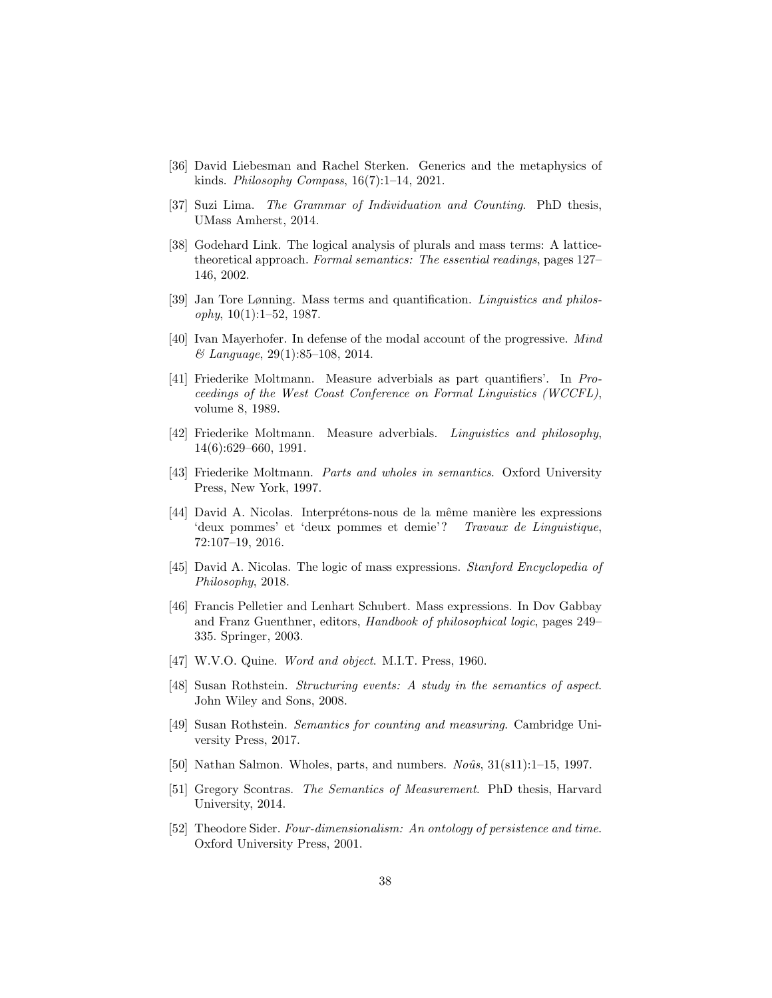- [36] David Liebesman and Rachel Sterken. Generics and the metaphysics of kinds. Philosophy Compass, 16(7):1–14, 2021.
- [37] Suzi Lima. The Grammar of Individuation and Counting. PhD thesis, UMass Amherst, 2014.
- [38] Godehard Link. The logical analysis of plurals and mass terms: A latticetheoretical approach. Formal semantics: The essential readings, pages 127– 146, 2002.
- [39] Jan Tore Lønning. Mass terms and quantification. Linguistics and philos $ophy, 10(1):1-52, 1987.$
- [40] Ivan Mayerhofer. In defense of the modal account of the progressive. Mind & Language, 29(1):85–108, 2014.
- [41] Friederike Moltmann. Measure adverbials as part quantifiers'. In Proceedings of the West Coast Conference on Formal Linguistics (WCCFL), volume 8, 1989.
- [42] Friederike Moltmann. Measure adverbials. Linguistics and philosophy, 14(6):629–660, 1991.
- [43] Friederike Moltmann. Parts and wholes in semantics. Oxford University Press, New York, 1997.
- [44] David A. Nicolas. Interprétons-nous de la même manière les expressions 'deux pommes' et 'deux pommes et demie'? Travaux de Linguistique, 72:107–19, 2016.
- [45] David A. Nicolas. The logic of mass expressions. Stanford Encyclopedia of Philosophy, 2018.
- [46] Francis Pelletier and Lenhart Schubert. Mass expressions. In Dov Gabbay and Franz Guenthner, editors, Handbook of philosophical logic, pages 249– 335. Springer, 2003.
- [47] W.V.O. Quine. *Word and object.* M.I.T. Press, 1960.
- [48] Susan Rothstein. Structuring events: A study in the semantics of aspect. John Wiley and Sons, 2008.
- [49] Susan Rothstein. Semantics for counting and measuring. Cambridge University Press, 2017.
- [50] Nathan Salmon. Wholes, parts, and numbers.  $No\hat{u}s$ ,  $31(s11):1-15$ , 1997.
- [51] Gregory Scontras. The Semantics of Measurement. PhD thesis, Harvard University, 2014.
- [52] Theodore Sider. Four-dimensionalism: An ontology of persistence and time. Oxford University Press, 2001.